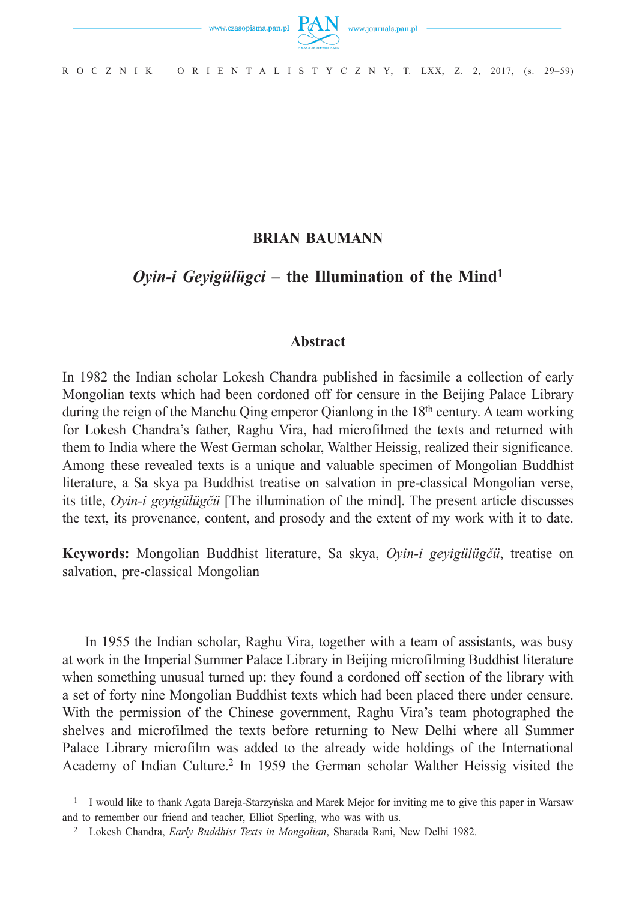

R O C Z N I K O R I E N T A L I S T Y C Z N Y, T. LXX, Z. 2, 2017, (s. 29–59)

## **BRIAN BAUMANN**

# *Oyin-i Geyigülügci* **– the Illumination of the Mind1**

## **Abstract**

In 1982 the Indian scholar Lokesh Chandra published in facsimile a collection of early Mongolian texts which had been cordoned off for censure in the Beijing Palace Library during the reign of the Manchu Qing emperor Qianlong in the 18<sup>th</sup> century. A team working for Lokesh Chandra's father, Raghu Vira, had microfilmed the texts and returned with them to India where the West German scholar, Walther Heissig, realized their significance. Among these revealed texts is a unique and valuable specimen of Mongolian Buddhist literature, a Sa skya pa Buddhist treatise on salvation in pre-classical Mongolian verse, its title, *Oyin-i geyigülügčü* [The illumination of the mind]. The present article discusses the text, its provenance, content, and prosody and the extent of my work with it to date.

**Keywords:** Mongolian Buddhist literature, Sa skya, *Oyin-i geyigülügčü*, treatise on salvation, pre-classical Mongolian

In 1955 the Indian scholar, Raghu Vira, together with a team of assistants, was busy at work in the Imperial Summer Palace Library in Beijing microfilming Buddhist literature when something unusual turned up: they found a cordoned off section of the library with a set of forty nine Mongolian Buddhist texts which had been placed there under censure. With the permission of the Chinese government, Raghu Vira's team photographed the shelves and microfilmed the texts before returning to New Delhi where all Summer Palace Library microfilm was added to the already wide holdings of the International Academy of Indian Culture.2 In 1959 the German scholar Walther Heissig visited the

<sup>1</sup> I would like to thank Agata Bareja-Starzyńska and Marek Mejor for inviting me to give this paper in Warsaw and to remember our friend and teacher, Elliot Sperling, who was with us.

<sup>2</sup> Lokesh Chandra, *Early Buddhist Texts in Mongolian*, Sharada Rani, New Delhi 1982.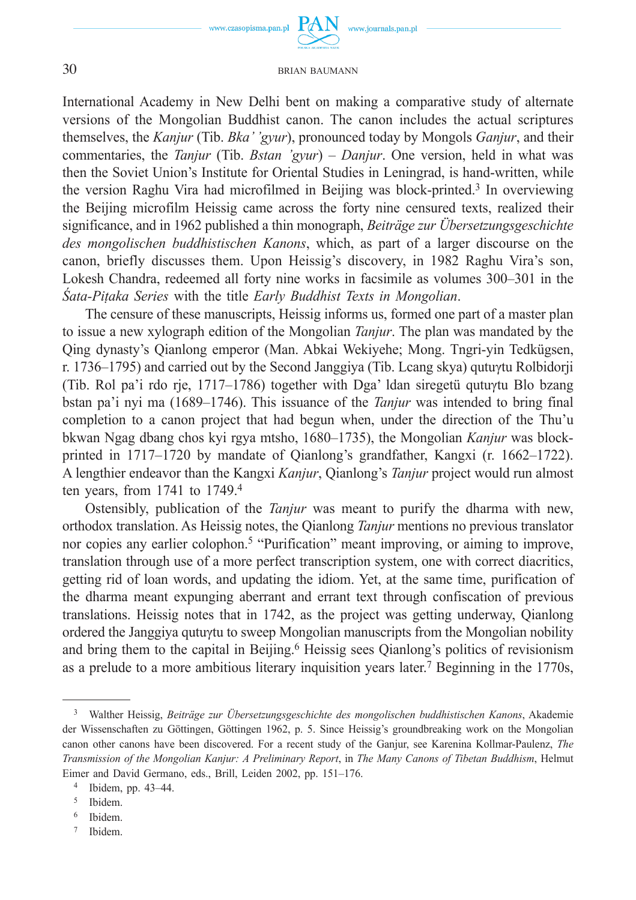

International Academy in New Delhi bent on making a comparative study of alternate versions of the Mongolian Buddhist canon. The canon includes the actual scriptures themselves, the *Kanjur* (Tib. *Bka' 'gyur*), pronounced today by Mongols *Ganjur*, and their commentaries, the *Tanjur* (Tib. *Bstan 'gyur*) – *Danjur*. One version, held in what was then the Soviet Union's Institute for Oriental Studies in Leningrad, is hand-written, while the version Raghu Vira had microfilmed in Beijing was block-printed.3 In overviewing the Beijing microfilm Heissig came across the forty nine censured texts, realized their significance, and in 1962 published a thin monograph, *Beiträge zur Übersetzungsgeschichte des mongolischen buddhistischen Kanons*, which, as part of a larger discourse on the canon, briefly discusses them. Upon Heissig's discovery, in 1982 Raghu Vira's son, Lokesh Chandra, redeemed all forty nine works in facsimile as volumes 300–301 in the *Śata-Piṭaka Series* with the title *Early Buddhist Texts in Mongolian*.

The censure of these manuscripts, Heissig informs us, formed one part of a master plan to issue a new xylograph edition of the Mongolian *Tanjur*. The plan was mandated by the Qing dynasty's Qianlong emperor (Man. Abkai Wekiyehe; Mong. Tngri-yin Tedkügsen, r. 1736–1795) and carried out by the Second Janggiya (Tib. Lcang skya) qutuγtu Rolbidorji (Tib. Rol pa'i rdo rje, 1717–1786) together with Dga' ldan siregetü qutuγtu Blo bzang bstan pa'i nyi ma (1689–1746). This issuance of the *Tanjur* was intended to bring final completion to a canon project that had begun when, under the direction of the Thu'u bkwan Ngag dbang chos kyi rgya mtsho, 1680–1735), the Mongolian *Kanjur* was blockprinted in 1717–1720 by mandate of Qianlong's grandfather, Kangxi (r. 1662–1722). A lengthier endeavor than the Kangxi *Kanjur*, Qianlong's *Tanjur* project would run almost ten years, from  $1741$  to  $1749<sup>4</sup>$ .

Ostensibly, publication of the *Tanjur* was meant to purify the dharma with new, orthodox translation. As Heissig notes, the Qianlong *Tanjur* mentions no previous translator nor copies any earlier colophon.<sup>5</sup> "Purification" meant improving, or aiming to improve, translation through use of a more perfect transcription system, one with correct diacritics, getting rid of loan words, and updating the idiom. Yet, at the same time, purification of the dharma meant expunging aberrant and errant text through confiscation of previous translations. Heissig notes that in 1742, as the project was getting underway, Qianlong ordered the Janggiya qutuγtu to sweep Mongolian manuscripts from the Mongolian nobility and bring them to the capital in Beijing.<sup>6</sup> Heissig sees Qianlong's politics of revisionism as a prelude to a more ambitious literary inquisition years later.7 Beginning in the 1770s,

<sup>3</sup> Walther Heissig, *Beiträge zur Übersetzungsgeschichte des mongolischen buddhistischen Kanons*, Akademie der Wissenschaften zu Göttingen, Göttingen 1962, p. 5. Since Heissig's groundbreaking work on the Mongolian canon other canons have been discovered. For a recent study of the Ganjur, see Karenina Kollmar-Paulenz, *The Transmission of the Mongolian Kanjur: A Preliminary Report*, in *The Many Canons of Tibetan Buddhism*, Helmut Eimer and David Germano, eds., Brill, Leiden 2002, pp. 151–176.

<sup>4</sup> Ibidem, pp. 43–44.

<sup>5</sup> Ibidem.

<sup>6</sup> Ibidem.

<sup>7</sup> Ibidem.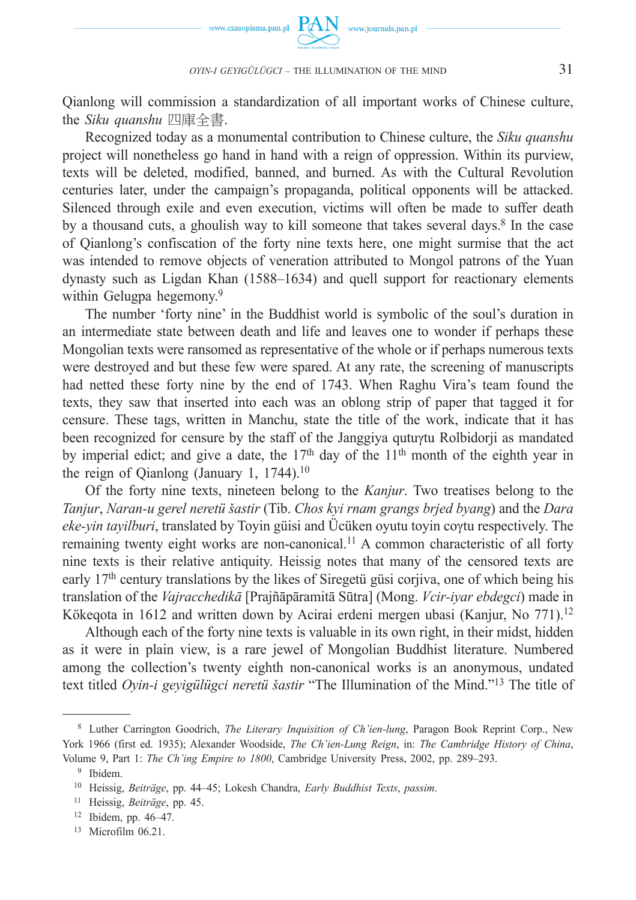

Qianlong will commission a standardization of all important works of Chinese culture, the *Siku quanshu* 四庫全書.

Recognized today as a monumental contribution to Chinese culture, the *Siku quanshu* project will nonetheless go hand in hand with a reign of oppression. Within its purview, texts will be deleted, modified, banned, and burned. As with the Cultural Revolution centuries later, under the campaign's propaganda, political opponents will be attacked. Silenced through exile and even execution, victims will often be made to suffer death by a thousand cuts, a ghoulish way to kill someone that takes several days.<sup>8</sup> In the case of Qianlong's confiscation of the forty nine texts here, one might surmise that the act was intended to remove objects of veneration attributed to Mongol patrons of the Yuan dynasty such as Ligdan Khan (1588–1634) and quell support for reactionary elements within Gelugpa hegemony.<sup>9</sup>

The number 'forty nine' in the Buddhist world is symbolic of the soul's duration in an intermediate state between death and life and leaves one to wonder if perhaps these Mongolian texts were ransomed as representative of the whole or if perhaps numerous texts were destroyed and but these few were spared. At any rate, the screening of manuscripts had netted these forty nine by the end of 1743. When Raghu Vira's team found the texts, they saw that inserted into each was an oblong strip of paper that tagged it for censure. These tags, written in Manchu, state the title of the work, indicate that it has been recognized for censure by the staff of the Janggiya qutuγtu Rolbidorji as mandated by imperial edict; and give a date, the  $17<sup>th</sup>$  day of the  $11<sup>th</sup>$  month of the eighth year in the reign of Qianlong (January 1,  $1744$ ).<sup>10</sup>

Of the forty nine texts, nineteen belong to the *Kanjur*. Two treatises belong to the *Tanjur*, *Naran-u gerel neretü šastir* (Tib. *Chos kyi rnam grangs brjed byang*) and the *Dara eke-yin tayilburi*, translated by Toyin güisi and Ücüken oyutu toyin coγtu respectively. The remaining twenty eight works are non-canonical.11 A common characteristic of all forty nine texts is their relative antiquity. Heissig notes that many of the censored texts are early  $17<sup>th</sup>$  century translations by the likes of Siregetü güsi corjiva, one of which being his translation of the *Vajracchedikā* [Prajñāpāramitā Sūtra] (Mong. *Vcir-iyar ebdegci*) made in Kökeqota in 1612 and written down by Acirai erdeni mergen ubasi (Kanjur, No 771).12

Although each of the forty nine texts is valuable in its own right, in their midst, hidden as it were in plain view, is a rare jewel of Mongolian Buddhist literature. Numbered among the collection's twenty eighth non-canonical works is an anonymous, undated text titled *Oyin-i geyigülügci neretü šastir* "The Illumination of the Mind."13 The title of

 <sup>8</sup> Luther Carrington Goodrich, *The Literary Inquisition of Ch'ien-lung*, Paragon Book Reprint Corp., New York 1966 (first ed. 1935); Alexander Woodside, *The Ch'ien-Lung Reign*, in: *The Cambridge History of China*, Volume 9, Part 1: *The Ch'ing Empire to 1800*, Cambridge University Press, 2002, pp. 289–293. 9 Ibidem.

<sup>10</sup> Heissig, *Beiträge*, pp. 44–45; Lokesh Chandra, *Early Buddhist Texts*, *passim*.

<sup>11</sup> Heissig, *Beiträge*, pp. 45.

<sup>12</sup> Ibidem, pp. 46–47.

<sup>13</sup> Microfilm 06.21.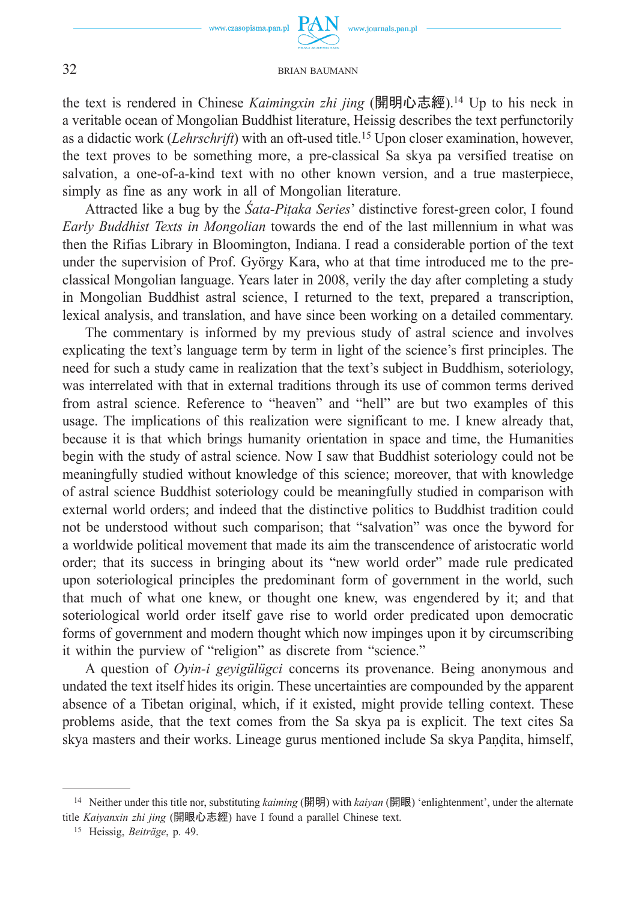

the text is rendered in Chinese *Kaimingxin zhi jing* (開明心志經).14 Up to his neck in a veritable ocean of Mongolian Buddhist literature, Heissig describes the text perfunctorily as a didactic work (*Lehrschrift*) with an oft-used title.15 Upon closer examination, however, the text proves to be something more, a pre-classical Sa skya pa versified treatise on salvation, a one-of-a-kind text with no other known version, and a true masterpiece, simply as fine as any work in all of Mongolian literature.

Attracted like a bug by the *Śata-Piṭaka Series*' distinctive forest-green color, I found *Early Buddhist Texts in Mongolian* towards the end of the last millennium in what was then the Rifias Library in Bloomington, Indiana. I read a considerable portion of the text under the supervision of Prof. György Kara, who at that time introduced me to the preclassical Mongolian language. Years later in 2008, verily the day after completing a study in Mongolian Buddhist astral science, I returned to the text, prepared a transcription, lexical analysis, and translation, and have since been working on a detailed commentary.

The commentary is informed by my previous study of astral science and involves explicating the text's language term by term in light of the science's first principles. The need for such a study came in realization that the text's subject in Buddhism, soteriology, was interrelated with that in external traditions through its use of common terms derived from astral science. Reference to "heaven" and "hell" are but two examples of this usage. The implications of this realization were significant to me. I knew already that, because it is that which brings humanity orientation in space and time, the Humanities begin with the study of astral science. Now I saw that Buddhist soteriology could not be meaningfully studied without knowledge of this science; moreover, that with knowledge of astral science Buddhist soteriology could be meaningfully studied in comparison with external world orders; and indeed that the distinctive politics to Buddhist tradition could not be understood without such comparison; that "salvation" was once the byword for a worldwide political movement that made its aim the transcendence of aristocratic world order; that its success in bringing about its "new world order" made rule predicated upon soteriological principles the predominant form of government in the world, such that much of what one knew, or thought one knew, was engendered by it; and that soteriological world order itself gave rise to world order predicated upon democratic forms of government and modern thought which now impinges upon it by circumscribing it within the purview of "religion" as discrete from "science."

A question of *Oyin-i geyigülügci* concerns its provenance. Being anonymous and undated the text itself hides its origin. These uncertainties are compounded by the apparent absence of a Tibetan original, which, if it existed, might provide telling context. These problems aside, that the text comes from the Sa skya pa is explicit. The text cites Sa skya masters and their works. Lineage gurus mentioned include Sa skya Paṇḍita, himself,

<sup>14</sup> Neither under this title nor, substituting *kaiming* (開明) with *kaiyan* (開眼) 'enlightenment', under the alternate title *Kaiyanxin zhi jing* (開眼心志經) have I found a parallel Chinese text.

<sup>15</sup> Heissig, *Beiträge*, p. 49.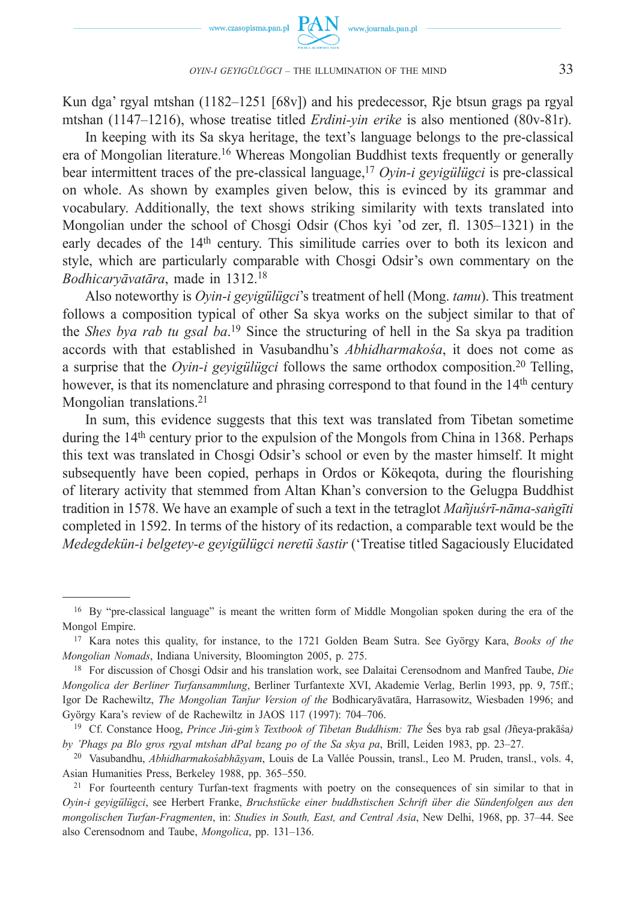

Kun dga' rgyal mtshan (1182–1251 [68v]) and his predecessor, Rje btsun grags pa rgyal mtshan (1147–1216), whose treatise titled *Erdini-yin erike* is also mentioned (80v-81r).

In keeping with its Sa skya heritage, the text's language belongs to the pre-classical era of Mongolian literature.16 Whereas Mongolian Buddhist texts frequently or generally bear intermittent traces of the pre-classical language,17 *Oyin-i geyigülügci* is pre-classical on whole. As shown by examples given below, this is evinced by its grammar and vocabulary. Additionally, the text shows striking similarity with texts translated into Mongolian under the school of Chosgi Odsir (Chos kyi 'od zer, fl. 1305–1321) in the early decades of the 14<sup>th</sup> century. This similitude carries over to both its lexicon and style, which are particularly comparable with Chosgi Odsir's own commentary on the *Bodhicaryāvatāra*, made in 1312.18

Also noteworthy is *Oyin-i geyigülügci*'s treatment of hell (Mong. *tamu*). This treatment follows a composition typical of other Sa skya works on the subject similar to that of the *Shes bya rab tu gsal ba*. 19 Since the structuring of hell in the Sa skya pa tradition accords with that established in Vasubandhu's *Abhidharmakośa*, it does not come as a surprise that the *Oyin-i geyigülügci* follows the same orthodox composition.20 Telling, however, is that its nomenclature and phrasing correspond to that found in the 14<sup>th</sup> century Mongolian translations.<sup>21</sup>

In sum, this evidence suggests that this text was translated from Tibetan sometime during the 14<sup>th</sup> century prior to the expulsion of the Mongols from China in 1368. Perhaps this text was translated in Chosgi Odsir's school or even by the master himself. It might subsequently have been copied, perhaps in Ordos or Kökeqota, during the flourishing of literary activity that stemmed from Altan Khan's conversion to the Gelugpa Buddhist tradition in 1578. We have an example of such a text in the tetraglot *Mañjuśrī-nāma-saṅgīti* completed in 1592. In terms of the history of its redaction, a comparable text would be the *Medegdekün-i belgetey-e geyigülügci neretü šastir* ('Treatise titled Sagaciously Elucidated

<sup>&</sup>lt;sup>16</sup> By "pre-classical language" is meant the written form of Middle Mongolian spoken during the era of the Mongol Empire.

<sup>17</sup> Kara notes this quality, for instance, to the 1721 Golden Beam Sutra. See György Kara, *Books of the Mongolian Nomads*, Indiana University, Bloomington 2005, p. 275.

<sup>18</sup> For discussion of Chosgi Odsir and his translation work, see Dalaitai Cerensodnom and Manfred Taube, *Die Mongolica der Berliner Turfansammlung*, Berliner Turfantexte XVI, Akademie Verlag, Berlin 1993, pp. 9, 75ff.; Igor De Rachewiltz, *The Mongolian Tanǰur Version of the* Bodhicaryāvatāra, Harrasowitz, Wiesbaden 1996; and György Kara's review of de Rachewiltz in JAOS 117 (1997): 704–706.

<sup>19</sup> Cf. Constance Hoog, *Prince Jiṅ-gim's Textbook of Tibetan Buddhism: The* Śes bya rab gsal *(*Jñeya-prakāśa*) by 'Phags pa Blo gros rgyal mtshan dPal bzang po of the Sa skya pa*, Brill, Leiden 1983, pp. 23–27.

<sup>20</sup> Vasubandhu, *Abhidharmakośabhāṣyam*, Louis de La Vallée Poussin, transl., Leo M. Pruden, transl., vols. 4, Asian Humanities Press, Berkeley 1988, pp. 365–550.

<sup>&</sup>lt;sup>21</sup> For fourteenth century Turfan-text fragments with poetry on the consequences of sin similar to that in *Oyin-i geyigülügci*, see Herbert Franke, *Bruchstücke einer buddhstischen Schrift über die Sündenfolgen aus den mongolischen Turfan-Fragmenten*, in: *Studies in South, East, and Central Asia*, New Delhi, 1968, pp. 37–44. See also Cerensodnom and Taube, *Mongolica*, pp. 131–136.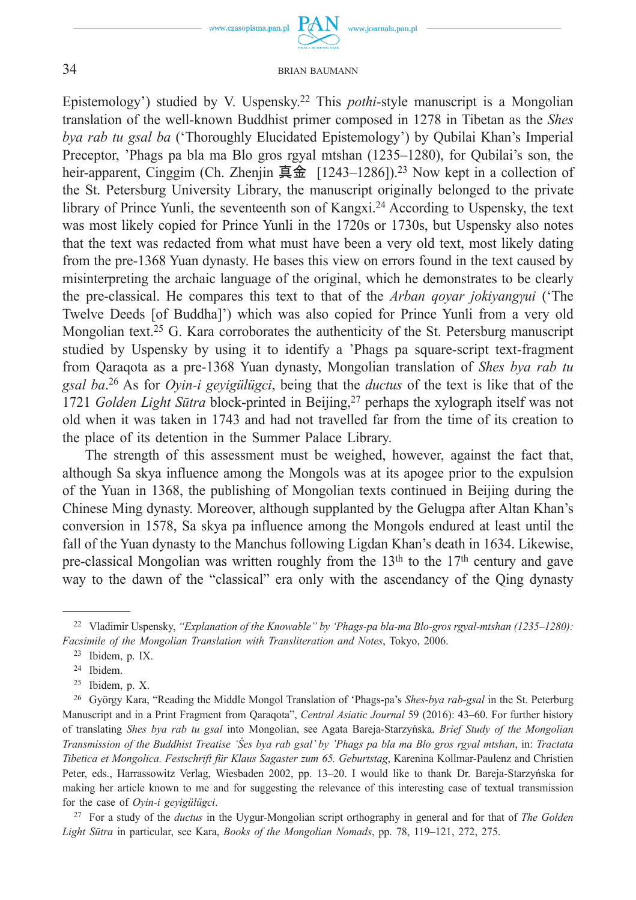www.czasopisma.pan.pl

www.journals.pan.pl

#### 34 BRIAN BAUMANN

Epistemology') studied by V. Uspensky.22 This *pothi*-style manuscript is a Mongolian translation of the well-known Buddhist primer composed in 1278 in Tibetan as the *Shes bya rab tu gsal ba* ('Thoroughly Elucidated Epistemology') by Qubilai Khan's Imperial Preceptor, 'Phags pa bla ma Blo gros rgyal mtshan (1235–1280), for Qubilai's son, the heir-apparent, Cinggim (Ch. Zhenjin 真金 [1243–1286]).<sup>23</sup> Now kept in a collection of the St. Petersburg University Library, the manuscript originally belonged to the private library of Prince Yunli, the seventeenth son of Kangxi.24 According to Uspensky, the text was most likely copied for Prince Yunli in the 1720s or 1730s, but Uspensky also notes that the text was redacted from what must have been a very old text, most likely dating from the pre-1368 Yuan dynasty. He bases this view on errors found in the text caused by misinterpreting the archaic language of the original, which he demonstrates to be clearly the pre-classical. He compares this text to that of the *Arban qoyar jokiyangγui* ('The Twelve Deeds [of Buddha]') which was also copied for Prince Yunli from a very old Mongolian text.<sup>25</sup> G. Kara corroborates the authenticity of the St. Petersburg manuscript studied by Uspensky by using it to identify a 'Phags pa square-script text-fragment from Qaraqota as a pre-1368 Yuan dynasty, Mongolian translation of *Shes bya rab tu gsal ba*. 26 As for *Oyin-i geyigülügci*, being that the *ductus* of the text is like that of the 1721 *Golden Light Sūtra* block-printed in Beijing,27 perhaps the xylograph itself was not old when it was taken in 1743 and had not travelled far from the time of its creation to the place of its detention in the Summer Palace Library.

The strength of this assessment must be weighed, however, against the fact that, although Sa skya influence among the Mongols was at its apogee prior to the expulsion of the Yuan in 1368, the publishing of Mongolian texts continued in Beijing during the Chinese Ming dynasty. Moreover, although supplanted by the Gelugpa after Altan Khan's conversion in 1578, Sa skya pa influence among the Mongols endured at least until the fall of the Yuan dynasty to the Manchus following Ligdan Khan's death in 1634. Likewise, pre-classical Mongolian was written roughly from the  $13<sup>th</sup>$  to the  $17<sup>th</sup>$  century and gave way to the dawn of the "classical" era only with the ascendancy of the Qing dynasty

<sup>22</sup> Vladimir Uspensky, *"Explanation of the Knowable" by 'Phags-pa bla-ma Blo-gros rgyal-mtshan (1235–1280): Facsimile of the Mongolian Translation with Transliteration and Notes*, Tokyo, 2006.

<sup>23</sup> Ibidem, p. IX.

<sup>24</sup> Ibidem.

<sup>25</sup> Ibidem, p. X.

<sup>26</sup> György Kara, "Reading the Middle Mongol Translation of 'Phags-pa's *Shes-bya rab-gsal* in the St. Peterburg Manuscript and in a Print Fragment from Qaraqota", *Central Asiatic Journal* 59 (2016): 43–60. For further history of translating *Shes bya rab tu gsal* into Mongolian, see Agata Bareja-Starzyńska, *Brief Study of the Mongolian Transmission of the Buddhist Treatise 'Śes bya rab gsal' by 'Phags pa bla ma Blo gros rgyal mtshan*, in: *Tractata Tibetica et Mongolica. Festschrift für Klaus Sagaster zum 65. Geburtstag*, Karenina Kollmar-Paulenz and Christien Peter, eds., Harrassowitz Verlag, Wiesbaden 2002, pp. 13–20. I would like to thank Dr. Bareja-Starzyńska for making her article known to me and for suggesting the relevance of this interesting case of textual transmission for the case of *Oyin-i geyigülügci*.

<sup>27</sup> For a study of the *ductus* in the Uygur-Mongolian script orthography in general and for that of *The Golden Light Sūtra* in particular, see Kara, *Books of the Mongolian Nomads*, pp. 78, 119–121, 272, 275.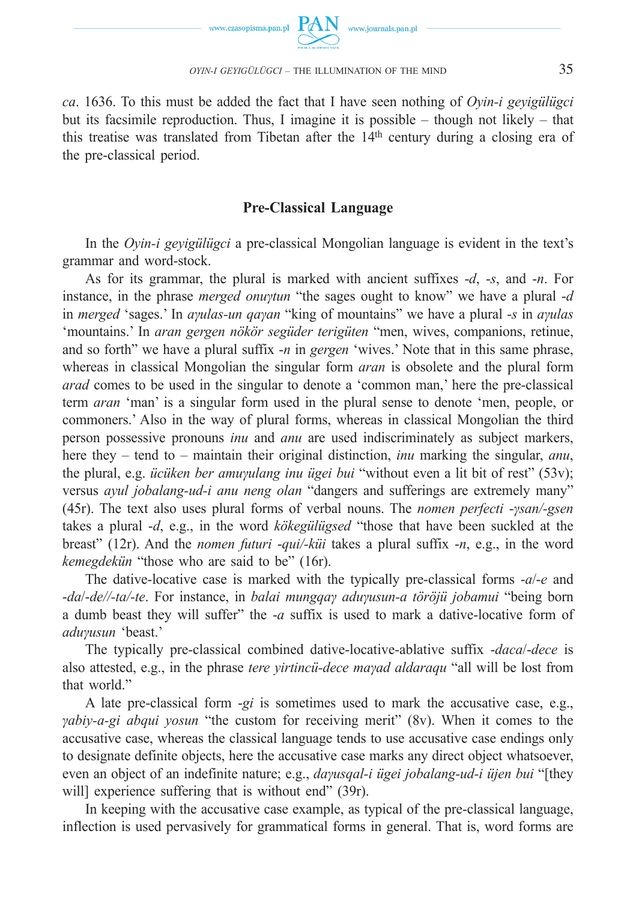



*ca*. 1636. To this must be added the fact that I have seen nothing of *Oyin-i geyigülügci* but its facsimile reproduction. Thus, I imagine it is possible – though not likely – that this treatise was translated from Tibetan after the  $14<sup>th</sup>$  century during a closing era of the pre-classical period.

## **Pre-Classical Language**

In the *Oyin-i geyigülügci* a pre-classical Mongolian language is evident in the text's grammar and word-stock.

As for its grammar, the plural is marked with ancient suffixes -*d*, -*s*, and -*n*. For instance, in the phrase *merged onuγtun* "the sages ought to know" we have a plural -*d* in *merged* 'sages.' In *aγulas-un qaγan* "king of mountains" we have a plural -*s* in *aγulas* 'mountains.' In *aran gergen nökör següder terigüten* "men, wives, companions, retinue, and so forth" we have a plural suffix -*n* in *gergen* 'wives.' Note that in this same phrase, whereas in classical Mongolian the singular form *aran* is obsolete and the plural form *arad* comes to be used in the singular to denote a 'common man,' here the pre-classical term *aran* 'man' is a singular form used in the plural sense to denote 'men, people, or commoners.' Also in the way of plural forms, whereas in classical Mongolian the third person possessive pronouns *inu* and *anu* are used indiscriminately as subject markers, here they – tend to – maintain their original distinction, *inu* marking the singular, *anu*, the plural, e.g. *ücüken ber amuγulang inu ügei bui* "without even a lit bit of rest" (53v); versus *ayul jobalang-ud-i anu neng olan* "dangers and sufferings are extremely many" (45r). The text also uses plural forms of verbal nouns. The *nomen perfecti* -*γsan/-gsen* takes a plural -*d*, e.g., in the word *kökegülügsed* "those that have been suckled at the breast" (12r). And the *nomen futuri* -*qui/-küi* takes a plural suffix -*n*, e.g., in the word *kemegdekün* "those who are said to be" (16r).

The dative-locative case is marked with the typically pre-classical forms -*a*/-*e* and -*da*/-*de//-ta/-te*. For instance, in *balai mungqaγ aduγusun-a töröjü jobamui* "being born a dumb beast they will suffer" the -*a* suffix is used to mark a dative-locative form of *aduγusun* 'beast.'

The typically pre-classical combined dative-locative-ablative suffix -*daca*/-*dece* is also attested, e.g., in the phrase *tere yirtincü-dece maγad aldaraqu* "all will be lost from that world."

A late pre-classical form -*gi* is sometimes used to mark the accusative case, e.g., *γabiy-a-gi abqui yosun* "the custom for receiving merit" (8v). When it comes to the accusative case, whereas the classical language tends to use accusative case endings only to designate definite objects, here the accusative case marks any direct object whatsoever, even an object of an indefinite nature; e.g., *daγusqal-i ügei jobalang-ud-i üjen bui* "[they will] experience suffering that is without end" (39r).

In keeping with the accusative case example, as typical of the pre-classical language, inflection is used pervasively for grammatical forms in general. That is, word forms are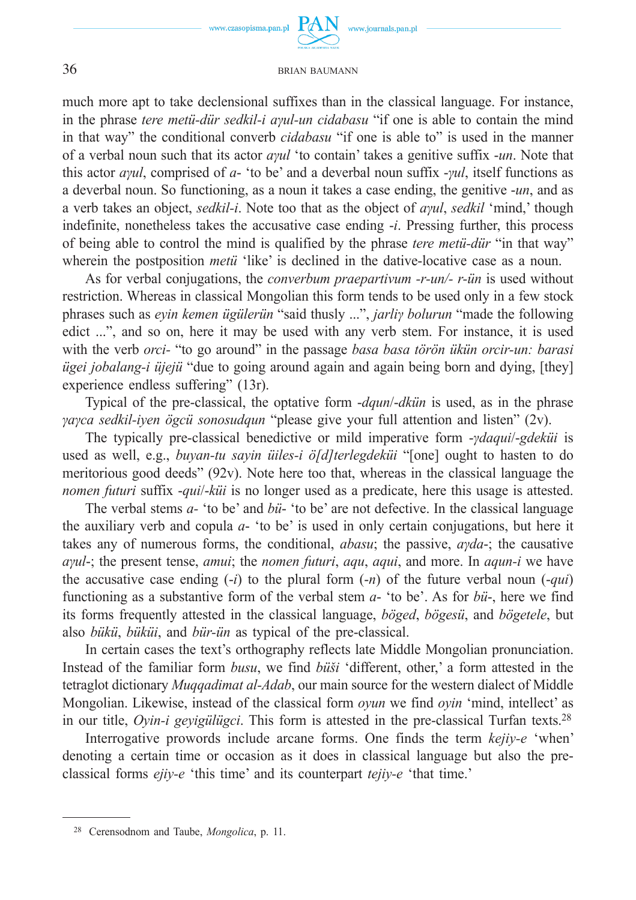

www.journals.pan.pl

#### 36 BRIAN BAUMANN

much more apt to take declensional suffixes than in the classical language. For instance, in the phrase *tere metü-dür sedkil-i aγul-un cidabasu* "if one is able to contain the mind in that way" the conditional converb *cidabasu* "if one is able to" is used in the manner of a verbal noun such that its actor *aγul* 'to contain' takes a genitive suffix -*un*. Note that this actor *aγul*, comprised of *a*- 'to be' and a deverbal noun suffix -*γul*, itself functions as a deverbal noun. So functioning, as a noun it takes a case ending, the genitive -*un*, and as a verb takes an object, *sedkil-i*. Note too that as the object of *aγul*, *sedkil* 'mind,' though indefinite, nonetheless takes the accusative case ending -*i*. Pressing further, this process of being able to control the mind is qualified by the phrase *tere metü-dür* "in that way" wherein the postposition *metü* 'like' is declined in the dative-locative case as a noun.

As for verbal conjugations, the *converbum praepartivum -r-un/- r-ün* is used without restriction. Whereas in classical Mongolian this form tends to be used only in a few stock phrases such as *eyin kemen ügülerün* "said thusly ...", *jarliγ bolurun* "made the following edict ...", and so on, here it may be used with any verb stem. For instance, it is used with the verb *orci-* "to go around" in the passage *basa basa törön ükün orcir-un: barasi ügei jobalang-i üjejü* "due to going around again and again being born and dying, [they] experience endless suffering" (13r).

Typical of the pre-classical, the optative form -*dqun*/-*dkün* is used, as in the phrase *γaγca sedkil-iyen ögcü sonosudqun* "please give your full attention and listen" (2v).

The typically pre-classical benedictive or mild imperative form -*γdaqui*/-*gdeküi* is used as well, e.g., *buyan-tu sayin üiles-i ö[d]terlegdeküi* "[one] ought to hasten to do meritorious good deeds" (92v). Note here too that, whereas in the classical language the *nomen futuri* suffix -*qui*/-*küi* is no longer used as a predicate, here this usage is attested.

The verbal stems *a-* 'to be' and *bü*- 'to be' are not defective. In the classical language the auxiliary verb and copula *a*- 'to be' is used in only certain conjugations, but here it takes any of numerous forms, the conditional, *abasu*; the passive, *aγda*-; the causative *aγul*-; the present tense, *amui*; the *nomen futuri*, *aqu*, *aqui*, and more. In *aqun-i* we have the accusative case ending (-*i*) to the plural form (-*n*) of the future verbal noun (-*qui*) functioning as a substantive form of the verbal stem *a*- 'to be'. As for *bü*-, here we find its forms frequently attested in the classical language, *böged*, *bögesü*, and *bögetele*, but also *bükü*, *büküi*, and *bür-ün* as typical of the pre-classical.

In certain cases the text's orthography reflects late Middle Mongolian pronunciation. Instead of the familiar form *busu*, we find *büši* 'different, other,' a form attested in the tetraglot dictionary *Muqqadimat al-Adab*, our main source for the western dialect of Middle Mongolian. Likewise, instead of the classical form *oyun* we find *oyin* 'mind, intellect' as in our title, *Oyin-i geyigülügci*. This form is attested in the pre-classical Turfan texts.28

Interrogative prowords include arcane forms. One finds the term *kejiy-e* 'when' denoting a certain time or occasion as it does in classical language but also the preclassical forms *ejiy-e* 'this time' and its counterpart *tejiy-e* 'that time.'

<sup>28</sup> Cerensodnom and Taube, *Mongolica*, p. 11.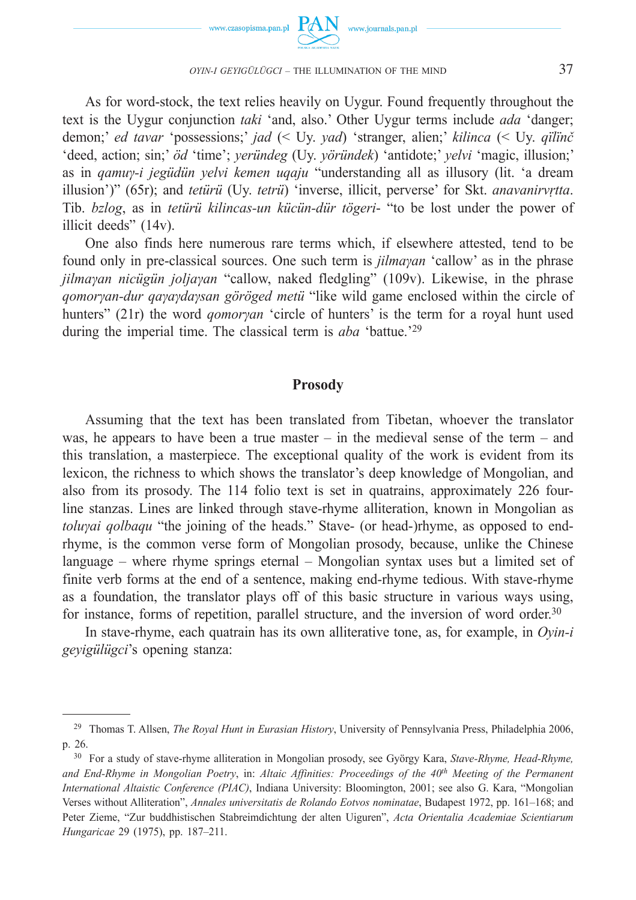

As for word-stock, the text relies heavily on Uygur. Found frequently throughout the text is the Uygur conjunction *taki* 'and, also.' Other Uygur terms include *ada* 'danger; demon;' *ed tavar* 'possessions;' *jad* (< Uy. *yad*) 'stranger, alien;' *kilinca* (< Uy. *qïlïnč* 'deed, action; sin;' *öd* 'time'; *yeründeg* (Uy. *yöründek*) 'antidote;' *yelvi* 'magic, illusion;' as in *qamuγ-i jegüdün yelvi kemen uqaju* "understanding all as illusory (lit. 'a dream illusion')" (65r); and *tetürü* (Uy. *tetrü*) 'inverse, illicit, perverse' for Skt. *anavanirvṛtta*. Tib. *bzlog*, as in *tetürü kilincas-un kücün-dür tögeri*- "to be lost under the power of illicit deeds" (14v).

One also finds here numerous rare terms which, if elsewhere attested, tend to be found only in pre-classical sources. One such term is *jilmaγan* 'callow' as in the phrase *jilmaγan nicügün joljaγan* "callow, naked fledgling" (109v). Likewise, in the phrase *qomorγan-dur qaγaγdaγsan göröged metü* "like wild game enclosed within the circle of hunters" (21r) the word *qomorγan* 'circle of hunters' is the term for a royal hunt used during the imperial time. The classical term is *aba* 'battue.'<sup>29</sup>

#### **Prosody**

Assuming that the text has been translated from Tibetan, whoever the translator was, he appears to have been a true master – in the medieval sense of the term – and this translation, a masterpiece. The exceptional quality of the work is evident from its lexicon, the richness to which shows the translator's deep knowledge of Mongolian, and also from its prosody. The 114 folio text is set in quatrains, approximately 226 fourline stanzas. Lines are linked through stave-rhyme alliteration, known in Mongolian as *toluyai golbaqu* "the joining of the heads." Stave- (or head-)rhyme, as opposed to endrhyme, is the common verse form of Mongolian prosody, because, unlike the Chinese language – where rhyme springs eternal – Mongolian syntax uses but a limited set of finite verb forms at the end of a sentence, making end-rhyme tedious. With stave-rhyme as a foundation, the translator plays off of this basic structure in various ways using, for instance, forms of repetition, parallel structure, and the inversion of word order.<sup>30</sup>

In stave-rhyme, each quatrain has its own alliterative tone, as, for example, in *Oyin-i geyigülügci*'s opening stanza:

<sup>29</sup> Thomas T. Allsen, *The Royal Hunt in Eurasian History*, University of Pennsylvania Press, Philadelphia 2006, p. 26.

<sup>30</sup> For a study of stave-rhyme alliteration in Mongolian prosody, see György Kara, *Stave-Rhyme, Head-Rhyme, and End-Rhyme in Mongolian Poetry*, in: *Altaic Affinities: Proceedings of the 40th Meeting of the Permanent International Altaistic Conference (PIAC)*, Indiana University: Bloomington, 2001; see also G. Kara, "Mongolian Verses without Alliteration", *Annales universitatis de Rolando Eotvos nominatae*, Budapest 1972, pp. 161–168; and Peter Zieme, "Zur buddhistischen Stabreimdichtung der alten Uiguren", *Acta Orientalia Academiae Scientiarum Hungaricae* 29 (1975), pp. 187–211.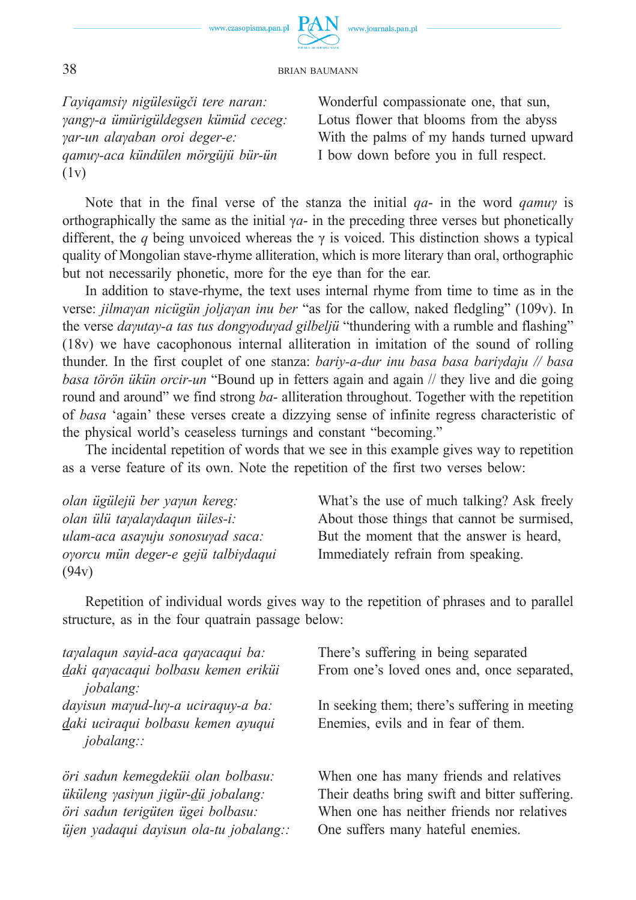

*Γayiqamsiγ nigülesügči tere naran: γangγ-a ümürigüldegsen kümüd ceceg: γar-un alaγaban oroi deger-e: qamuγ-aca kündülen mörgüjü bür-ün*  (1v)

Wonderful compassionate one, that sun, Lotus flower that blooms from the abyss With the palms of my hands turned upward I bow down before you in full respect.

Note that in the final verse of the stanza the initial *qa*- in the word *qamuγ* is orthographically the same as the initial  $\gamma a$ - in the preceding three verses but phonetically different, the *q* being unvoiced whereas the  $\gamma$  is voiced. This distinction shows a typical quality of Mongolian stave-rhyme alliteration, which is more literary than oral, orthographic but not necessarily phonetic, more for the eye than for the ear.

In addition to stave-rhyme, the text uses internal rhyme from time to time as in the verse: *jilmaγan nicügün joljaγan inu ber* "as for the callow, naked fledgling" (109v). In the verse *daγutay-a tas tus dongγoduγad gilbeljü* "thundering with a rumble and flashing" (18v) we have cacophonous internal alliteration in imitation of the sound of rolling thunder. In the first couplet of one stanza: *bariy-a-dur inu basa basa bariγdaju // basa basa törön ükün orcir-un* "Bound up in fetters again and again // they live and die going round and around" we find strong *ba*- alliteration throughout. Together with the repetition of *basa* 'again' these verses create a dizzying sense of infinite regress characteristic of the physical world's ceaseless turnings and constant "becoming."

The incidental repetition of words that we see in this example gives way to repetition as a verse feature of its own. Note the repetition of the first two verses below:

*olan ügülejü ber yaγun kereg: olan ülü taγalaγdaqun üiles-i: ulam-aca asaγuju sonosuγad saca: oγorcu mün deger-e gejü talbiγdaqui* (94v)

What's the use of much talking? Ask freely About those things that cannot be surmised, But the moment that the answer is heard, Immediately refrain from speaking.

Repetition of individual words gives way to the repetition of phrases and to parallel structure, as in the four quatrain passage below:

| tayalaqun sayid-aca qayacaqui ba:                  | There's suffering in being separated           |
|----------------------------------------------------|------------------------------------------------|
| daki qayacaqui bolbasu kemen eriküi                | From one's loved ones and, once separated,     |
| <i>jobalang:</i>                                   |                                                |
| dayisun mayud-luy-a uciraquy-a ba:                 | In seeking them; there's suffering in meeting  |
| daki uciraqui bolbasu kemen ayuqui<br>$jobalang$ : | Enemies, evils and in fear of them.            |
| öri sadun kemegdeküi olan bolbasu:                 | When one has many friends and relatives        |
| üküleng yasiyun jigür-dü jobalang:                 | Their deaths bring swift and bitter suffering. |
| öri sadun terigüten ügei bolbasu:                  | When one has neither friends nor relatives     |
| üjen yadaqui dayisun ola-tu jobalang::             | One suffers many hateful enemies.              |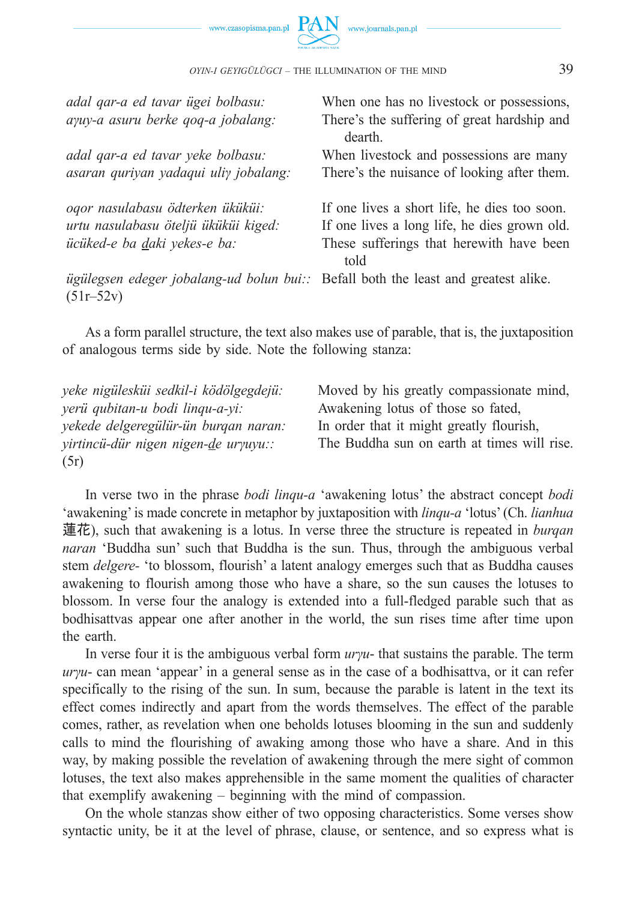



| adal qar-a ed tavar ügei bolbasu:<br>ayuy-a asuru berke qoq-a jobalang:                                 | When one has no livestock or possessions,<br>There's the suffering of great hardship and |
|---------------------------------------------------------------------------------------------------------|------------------------------------------------------------------------------------------|
| adal qar-a ed tavar yeke bolbasu:                                                                       | dearth<br>When livestock and possessions are many                                        |
| asaran quriyan yadaqui uliy jobalang:                                                                   | There's the nuisance of looking after them.                                              |
| oqor nasulabasu ödterken üküküi:                                                                        | If one lives a short life, he dies too soon.                                             |
| urtu nasulabasu öteljü üküküi kiged:                                                                    | If one lives a long life, he dies grown old.                                             |
| ücüked-e ba daki yekes-e ba:                                                                            | These sufferings that herewith have been<br>told                                         |
| <i>ügülegsen edeger jobalang-ud bolun bui:</i> Befall both the least and greatest alike.<br>$(51r-52v)$ |                                                                                          |

As a form parallel structure, the text also makes use of parable, that is, the juxtaposition of analogous terms side by side. Note the following stanza:

*yeke nigülesküi sedkil-i ködölgegdejü: yerü qubitan-u bodi linqu-a-yi: yekede delgeregülür-ün burqan naran: yirtincü-dür nigen nigen-de urγuyu::* (5r) Moved by his greatly compassionate mind, Awakening lotus of those so fated, In order that it might greatly flourish, The Buddha sun on earth at times will rise.

In verse two in the phrase *bodi linqu-a* 'awakening lotus' the abstract concept *bodi* 'awakening' is made concrete in metaphor by juxtaposition with *linqu-a* 'lotus' (Ch. *lianhua*  蓮花), such that awakening is a lotus. In verse three the structure is repeated in *burqan naran* 'Buddha sun' such that Buddha is the sun. Thus, through the ambiguous verbal stem *delgere-* 'to blossom, flourish' a latent analogy emerges such that as Buddha causes awakening to flourish among those who have a share, so the sun causes the lotuses to blossom. In verse four the analogy is extended into a full-fledged parable such that as bodhisattvas appear one after another in the world, the sun rises time after time upon the earth.

In verse four it is the ambiguous verbal form *urγu*- that sustains the parable. The term *urγu*- can mean 'appear' in a general sense as in the case of a bodhisattva, or it can refer specifically to the rising of the sun. In sum, because the parable is latent in the text its effect comes indirectly and apart from the words themselves. The effect of the parable comes, rather, as revelation when one beholds lotuses blooming in the sun and suddenly calls to mind the flourishing of awaking among those who have a share. And in this way, by making possible the revelation of awakening through the mere sight of common lotuses, the text also makes apprehensible in the same moment the qualities of character that exemplify awakening – beginning with the mind of compassion.

On the whole stanzas show either of two opposing characteristics. Some verses show syntactic unity, be it at the level of phrase, clause, or sentence, and so express what is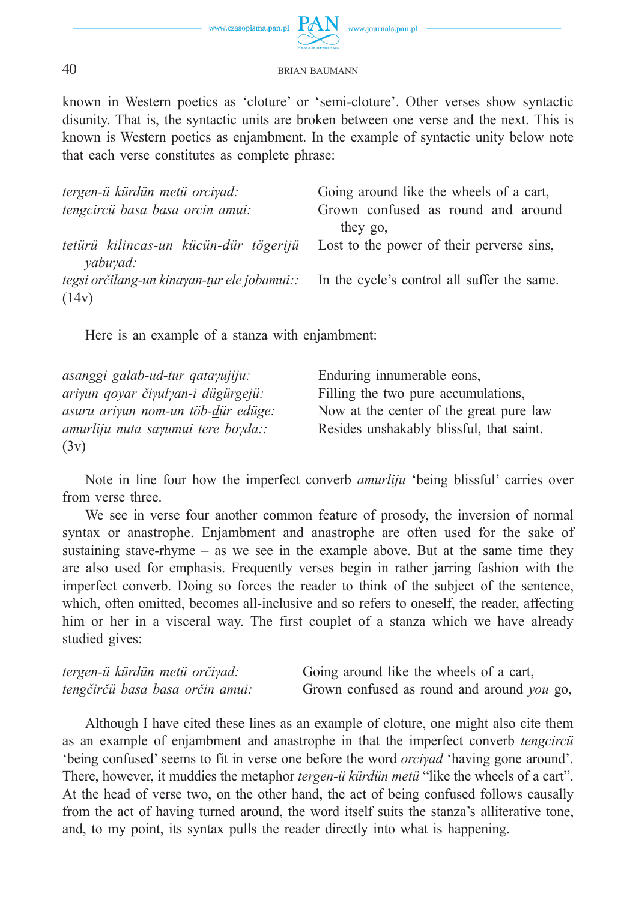

known in Western poetics as 'cloture' or 'semi-cloture'. Other verses show syntactic disunity. That is, the syntactic units are broken between one verse and the next. This is known is Western poetics as enjambment. In the example of syntactic unity below note that each verse constitutes as complete phrase:

| tergen-ü kürdün metü orciyad:                                                                  | Going around like the wheels of a cart,   |
|------------------------------------------------------------------------------------------------|-------------------------------------------|
| tengcircü basa basa orcin amui:                                                                | Grown confused as round and around        |
|                                                                                                | they go.                                  |
| tetürü kilincas-un kücün-dür tögerijü                                                          | Lost to the power of their perverse sins, |
| yabuyad:                                                                                       |                                           |
| <i>tegsi orčilang-un kinayan-tur ele jobamui::</i> In the cycle's control all suffer the same. |                                           |
| (14v)                                                                                          |                                           |

Here is an example of a stanza with enjambment:

| asanggi galab-ud-tur qatayujiju:     | Enduring innumerable eons,               |
|--------------------------------------|------------------------------------------|
| ariyun qoyar čiyulyan-i dügürgejü:   | Filling the two pure accumulations,      |
| asuru ariyun nom-un töb-dür edüge:   | Now at the center of the great pure law  |
| $amurliju$ nuta sayumui tere boyda:: | Resides unshakably blissful, that saint. |
| (3v)                                 |                                          |

Note in line four how the imperfect converb *amurliju* 'being blissful' carries over from verse three.

We see in verse four another common feature of prosody, the inversion of normal syntax or anastrophe. Enjambment and anastrophe are often used for the sake of sustaining stave-rhyme – as we see in the example above. But at the same time they are also used for emphasis. Frequently verses begin in rather jarring fashion with the imperfect converb. Doing so forces the reader to think of the subject of the sentence, which, often omitted, becomes all-inclusive and so refers to oneself, the reader, affecting him or her in a visceral way. The first couplet of a stanza which we have already studied gives:

| tergen-ü kürdün metü orčiyad:    | Going around like the wheels of a cart,    |
|----------------------------------|--------------------------------------------|
| tengčirčii basa basa orčin amui: | Grown confused as round and around you go, |

Although I have cited these lines as an example of cloture, one might also cite them as an example of enjambment and anastrophe in that the imperfect converb *tengcircü* 'being confused' seems to fit in verse one before the word *orciγad* 'having gone around'. There, however, it muddies the metaphor *tergen-ü kürdün metü* "like the wheels of a cart". At the head of verse two, on the other hand, the act of being confused follows causally from the act of having turned around, the word itself suits the stanza's alliterative tone, and, to my point, its syntax pulls the reader directly into what is happening.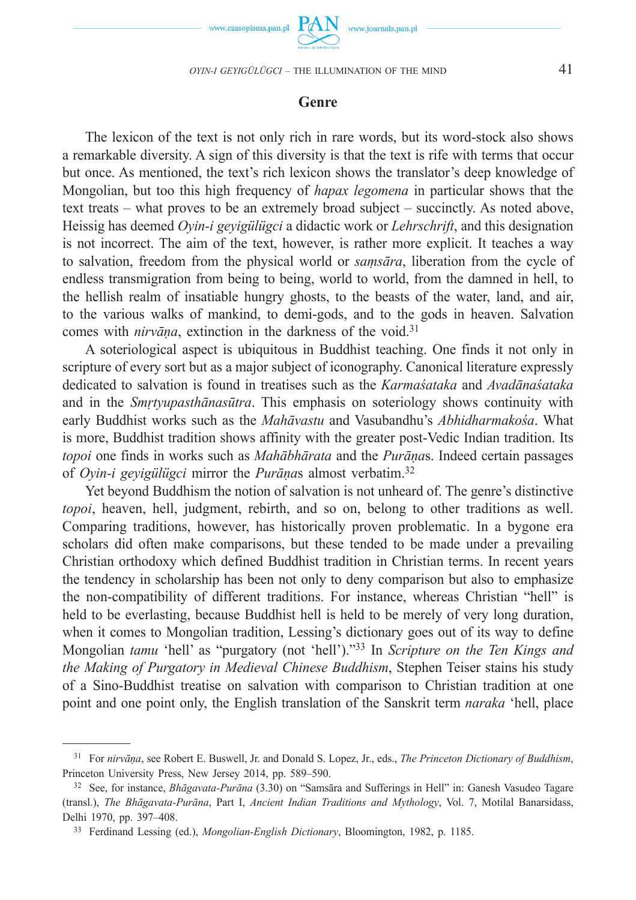

### **Genre**

The lexicon of the text is not only rich in rare words, but its word-stock also shows a remarkable diversity. A sign of this diversity is that the text is rife with terms that occur but once. As mentioned, the text's rich lexicon shows the translator's deep knowledge of Mongolian, but too this high frequency of *hapax legomena* in particular shows that the text treats – what proves to be an extremely broad subject – succinctly. As noted above, Heissig has deemed *Oyin-i geyigülügci* a didactic work or *Lehrschrift*, and this designation is not incorrect. The aim of the text, however, is rather more explicit. It teaches a way to salvation, freedom from the physical world or *saṃsāra*, liberation from the cycle of endless transmigration from being to being, world to world, from the damned in hell, to the hellish realm of insatiable hungry ghosts, to the beasts of the water, land, and air, to the various walks of mankind, to demi-gods, and to the gods in heaven. Salvation comes with *nirvāṇa*, extinction in the darkness of the void.31

A soteriological aspect is ubiquitous in Buddhist teaching. One finds it not only in scripture of every sort but as a major subject of iconography. Canonical literature expressly dedicated to salvation is found in treatises such as the *Karmaśataka* and *Avadānaśataka* and in the *Smṛtyupasthānasūtra*. This emphasis on soteriology shows continuity with early Buddhist works such as the *Mahāvastu* and Vasubandhu's *Abhidharmakośa*. What is more, Buddhist tradition shows affinity with the greater post-Vedic Indian tradition. Its *topoi* one finds in works such as *Mahābhārata* and the *Purāṇa*s. Indeed certain passages of *Oyin-i geyigülügci* mirror the *Purāṇa*s almost verbatim.32

Yet beyond Buddhism the notion of salvation is not unheard of. The genre's distinctive *topoi*, heaven, hell, judgment, rebirth, and so on, belong to other traditions as well. Comparing traditions, however, has historically proven problematic. In a bygone era scholars did often make comparisons, but these tended to be made under a prevailing Christian orthodoxy which defined Buddhist tradition in Christian terms. In recent years the tendency in scholarship has been not only to deny comparison but also to emphasize the non-compatibility of different traditions. For instance, whereas Christian "hell" is held to be everlasting, because Buddhist hell is held to be merely of very long duration, when it comes to Mongolian tradition, Lessing's dictionary goes out of its way to define Mongolian *tamu* 'hell' as "purgatory (not 'hell')."33 In *Scripture on the Ten Kings and the Making of Purgatory in Medieval Chinese Buddhism*, Stephen Teiser stains his study of a Sino-Buddhist treatise on salvation with comparison to Christian tradition at one point and one point only, the English translation of the Sanskrit term *naraka* 'hell, place

<sup>31</sup> For *nirvāṇa*, see Robert E. Buswell, Jr. and Donald S. Lopez, Jr., eds., *The Princeton Dictionary of Buddhism*, Princeton University Press, New Jersey 2014, pp. 589–590.

<sup>32</sup> See, for instance, *Bhāgavata-Purāna* (3.30) on "Samsāra and Sufferings in Hell" in: Ganesh Vasudeo Tagare (transl.), *The Bhāgavata-Purāna*, Part I, *Ancient Indian Traditions and Mythology*, Vol. 7, Motilal Banarsidass, Delhi 1970, pp. 397–408.

<sup>33</sup> Ferdinand Lessing (ed.), *Mongolian-English Dictionary*, Bloomington, 1982, p. 1185.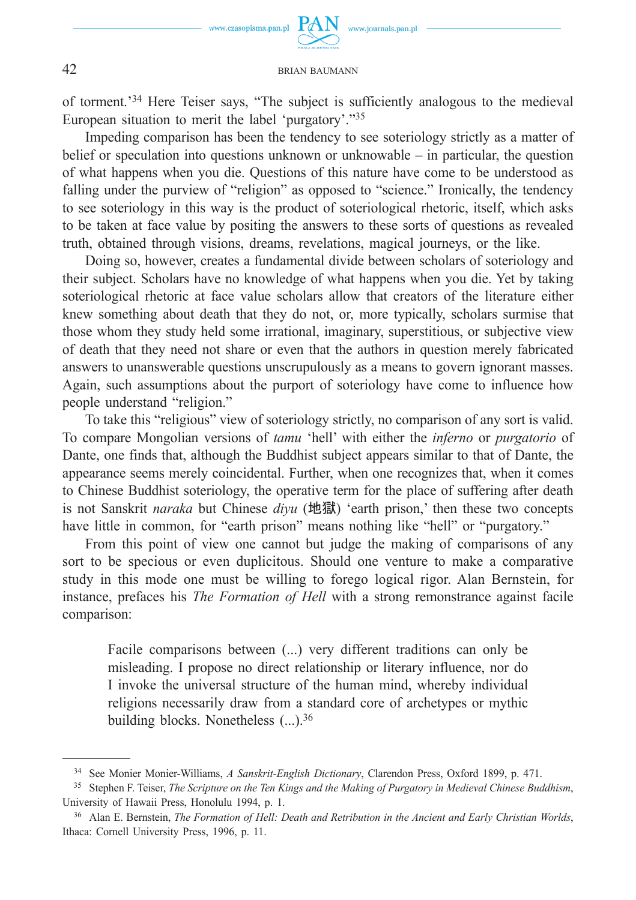of torment.'34 Here Teiser says, "The subject is sufficiently analogous to the medieval European situation to merit the label 'purgatory'."35

Impeding comparison has been the tendency to see soteriology strictly as a matter of belief or speculation into questions unknown or unknowable – in particular, the question of what happens when you die. Questions of this nature have come to be understood as falling under the purview of "religion" as opposed to "science." Ironically, the tendency to see soteriology in this way is the product of soteriological rhetoric, itself, which asks to be taken at face value by positing the answers to these sorts of questions as revealed truth, obtained through visions, dreams, revelations, magical journeys, or the like.

Doing so, however, creates a fundamental divide between scholars of soteriology and their subject. Scholars have no knowledge of what happens when you die. Yet by taking soteriological rhetoric at face value scholars allow that creators of the literature either knew something about death that they do not, or, more typically, scholars surmise that those whom they study held some irrational, imaginary, superstitious, or subjective view of death that they need not share or even that the authors in question merely fabricated answers to unanswerable questions unscrupulously as a means to govern ignorant masses. Again, such assumptions about the purport of soteriology have come to influence how people understand "religion."

To take this "religious" view of soteriology strictly, no comparison of any sort is valid. To compare Mongolian versions of *tamu* 'hell' with either the *inferno* or *purgatorio* of Dante, one finds that, although the Buddhist subject appears similar to that of Dante, the appearance seems merely coincidental. Further, when one recognizes that, when it comes to Chinese Buddhist soteriology, the operative term for the place of suffering after death is not Sanskrit *naraka* but Chinese *diyu* (地獄) 'earth prison,' then these two concepts have little in common, for "earth prison" means nothing like "hell" or "purgatory."

From this point of view one cannot but judge the making of comparisons of any sort to be specious or even duplicitous. Should one venture to make a comparative study in this mode one must be willing to forego logical rigor. Alan Bernstein, for instance, prefaces his *The Formation of Hell* with a strong remonstrance against facile comparison:

Facile comparisons between (...) very different traditions can only be misleading. I propose no direct relationship or literary influence, nor do I invoke the universal structure of the human mind, whereby individual religions necessarily draw from a standard core of archetypes or mythic building blocks. Nonetheless (...).36

<sup>34</sup> See Monier Monier-Williams, *A Sanskrit-English Dictionary*, Clarendon Press, Oxford 1899, p. 471. 35 Stephen F. Teiser, *The Scripture on the Ten Kings and the Making of Purgatory in Medieval Chinese Buddhism*,

University of Hawaii Press, Honolulu 1994, p. 1.

<sup>36</sup> Alan E. Bernstein, *The Formation of Hell: Death and Retribution in the Ancient and Early Christian Worlds*, Ithaca: Cornell University Press, 1996, p. 11.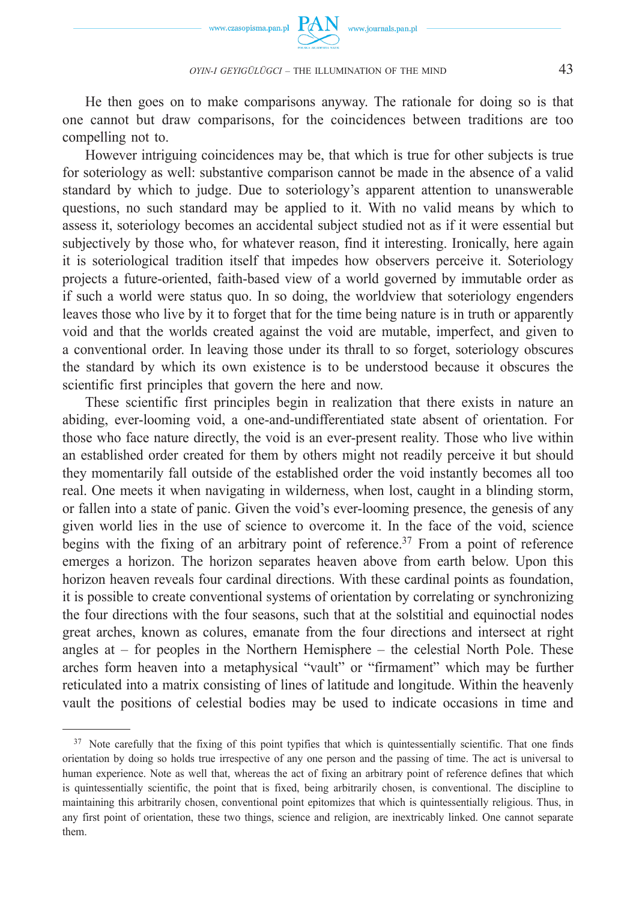

He then goes on to make comparisons anyway. The rationale for doing so is that one cannot but draw comparisons, for the coincidences between traditions are too compelling not to.

However intriguing coincidences may be, that which is true for other subjects is true for soteriology as well: substantive comparison cannot be made in the absence of a valid standard by which to judge. Due to soteriology's apparent attention to unanswerable questions, no such standard may be applied to it. With no valid means by which to assess it, soteriology becomes an accidental subject studied not as if it were essential but subjectively by those who, for whatever reason, find it interesting. Ironically, here again it is soteriological tradition itself that impedes how observers perceive it. Soteriology projects a future-oriented, faith-based view of a world governed by immutable order as if such a world were status quo. In so doing, the worldview that soteriology engenders leaves those who live by it to forget that for the time being nature is in truth or apparently void and that the worlds created against the void are mutable, imperfect, and given to a conventional order. In leaving those under its thrall to so forget, soteriology obscures the standard by which its own existence is to be understood because it obscures the scientific first principles that govern the here and now.

These scientific first principles begin in realization that there exists in nature an abiding, ever-looming void, a one-and-undifferentiated state absent of orientation. For those who face nature directly, the void is an ever-present reality. Those who live within an established order created for them by others might not readily perceive it but should they momentarily fall outside of the established order the void instantly becomes all too real. One meets it when navigating in wilderness, when lost, caught in a blinding storm, or fallen into a state of panic. Given the void's ever-looming presence, the genesis of any given world lies in the use of science to overcome it. In the face of the void, science begins with the fixing of an arbitrary point of reference.<sup>37</sup> From a point of reference emerges a horizon. The horizon separates heaven above from earth below. Upon this horizon heaven reveals four cardinal directions. With these cardinal points as foundation, it is possible to create conventional systems of orientation by correlating or synchronizing the four directions with the four seasons, such that at the solstitial and equinoctial nodes great arches, known as colures, emanate from the four directions and intersect at right angles at – for peoples in the Northern Hemisphere – the celestial North Pole. These arches form heaven into a metaphysical "vault" or "firmament" which may be further reticulated into a matrix consisting of lines of latitude and longitude. Within the heavenly vault the positions of celestial bodies may be used to indicate occasions in time and

<sup>&</sup>lt;sup>37</sup> Note carefully that the fixing of this point typifies that which is quintessentially scientific. That one finds orientation by doing so holds true irrespective of any one person and the passing of time. The act is universal to human experience. Note as well that, whereas the act of fixing an arbitrary point of reference defines that which is quintessentially scientific, the point that is fixed, being arbitrarily chosen, is conventional. The discipline to maintaining this arbitrarily chosen, conventional point epitomizes that which is quintessentially religious. Thus, in any first point of orientation, these two things, science and religion, are inextricably linked. One cannot separate them.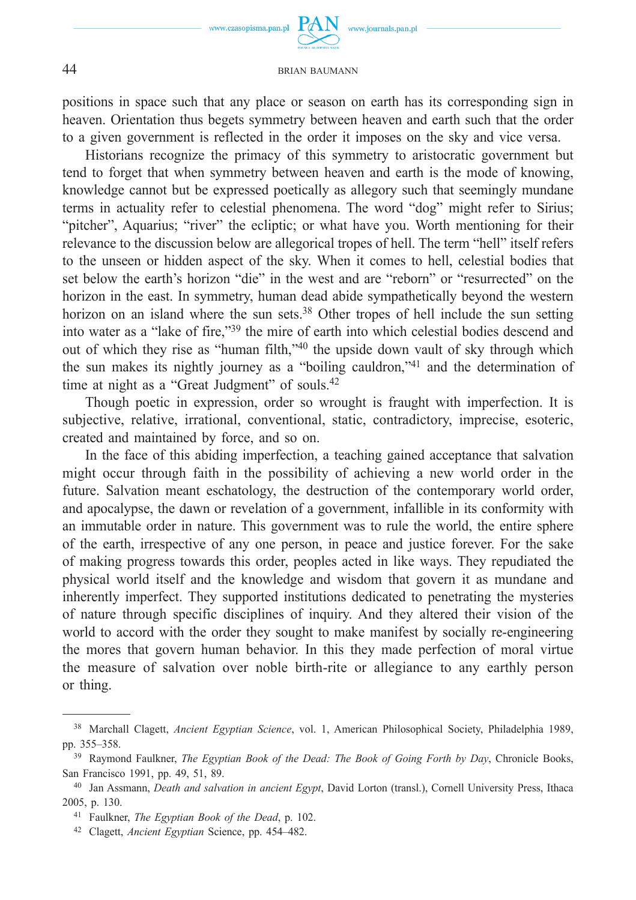www.journals.pan.pl

positions in space such that any place or season on earth has its corresponding sign in heaven. Orientation thus begets symmetry between heaven and earth such that the order to a given government is reflected in the order it imposes on the sky and vice versa.

Historians recognize the primacy of this symmetry to aristocratic government but tend to forget that when symmetry between heaven and earth is the mode of knowing, knowledge cannot but be expressed poetically as allegory such that seemingly mundane terms in actuality refer to celestial phenomena. The word "dog" might refer to Sirius; "pitcher", Aquarius; "river" the ecliptic; or what have you. Worth mentioning for their relevance to the discussion below are allegorical tropes of hell. The term "hell" itself refers to the unseen or hidden aspect of the sky. When it comes to hell, celestial bodies that set below the earth's horizon "die" in the west and are "reborn" or "resurrected" on the horizon in the east. In symmetry, human dead abide sympathetically beyond the western horizon on an island where the sun sets.<sup>38</sup> Other tropes of hell include the sun setting into water as a "lake of fire,"39 the mire of earth into which celestial bodies descend and out of which they rise as "human filth,"40 the upside down vault of sky through which the sun makes its nightly journey as a "boiling cauldron,"41 and the determination of time at night as a "Great Judgment" of souls.<sup>42</sup>

Though poetic in expression, order so wrought is fraught with imperfection. It is subjective, relative, irrational, conventional, static, contradictory, imprecise, esoteric, created and maintained by force, and so on.

In the face of this abiding imperfection, a teaching gained acceptance that salvation might occur through faith in the possibility of achieving a new world order in the future. Salvation meant eschatology, the destruction of the contemporary world order, and apocalypse, the dawn or revelation of a government, infallible in its conformity with an immutable order in nature. This government was to rule the world, the entire sphere of the earth, irrespective of any one person, in peace and justice forever. For the sake of making progress towards this order, peoples acted in like ways. They repudiated the physical world itself and the knowledge and wisdom that govern it as mundane and inherently imperfect. They supported institutions dedicated to penetrating the mysteries of nature through specific disciplines of inquiry. And they altered their vision of the world to accord with the order they sought to make manifest by socially re-engineering the mores that govern human behavior. In this they made perfection of moral virtue the measure of salvation over noble birth-rite or allegiance to any earthly person or thing.

<sup>38</sup> Marchall Clagett, *Ancient Egyptian Science*, vol. 1, American Philosophical Society, Philadelphia 1989, pp. 355–358.

<sup>39</sup> Raymond Faulkner, *The Egyptian Book of the Dead: The Book of Going Forth by Day*, Chronicle Books, San Francisco 1991, pp. 49, 51, 89.

<sup>40</sup> Jan Assmann, *Death and salvation in ancient Egypt*, David Lorton (transl.), Cornell University Press, Ithaca 2005, p. 130.

<sup>41</sup> Faulkner, *The Egyptian Book of the Dead*, p. 102.

<sup>42</sup> Clagett, *Ancient Egyptian* Science, pp. 454–482.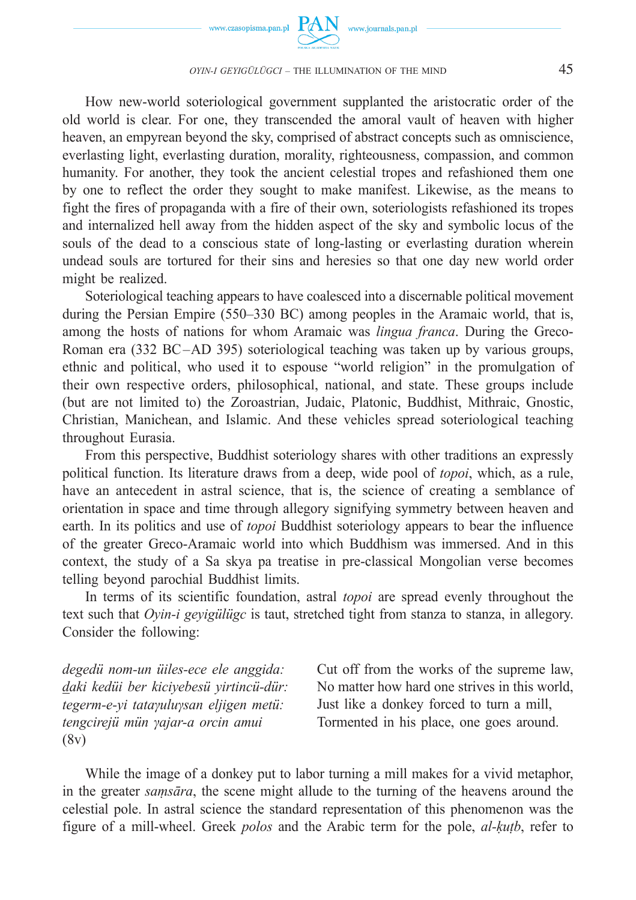

How new-world soteriological government supplanted the aristocratic order of the old world is clear. For one, they transcended the amoral vault of heaven with higher heaven, an empyrean beyond the sky, comprised of abstract concepts such as omniscience, everlasting light, everlasting duration, morality, righteousness, compassion, and common humanity. For another, they took the ancient celestial tropes and refashioned them one by one to reflect the order they sought to make manifest. Likewise, as the means to fight the fires of propaganda with a fire of their own, soteriologists refashioned its tropes and internalized hell away from the hidden aspect of the sky and symbolic locus of the souls of the dead to a conscious state of long-lasting or everlasting duration wherein undead souls are tortured for their sins and heresies so that one day new world order might be realized.

Soteriological teaching appears to have coalesced into a discernable political movement during the Persian Empire (550–330 BC) among peoples in the Aramaic world, that is, among the hosts of nations for whom Aramaic was *lingua franca*. During the Greco-Roman era (332 BC-AD 395) soteriological teaching was taken up by various groups, ethnic and political, who used it to espouse "world religion" in the promulgation of their own respective orders, philosophical, national, and state. These groups include (but are not limited to) the Zoroastrian, Judaic, Platonic, Buddhist, Mithraic, Gnostic, Christian, Manichean, and Islamic. And these vehicles spread soteriological teaching throughout Eurasia.

From this perspective, Buddhist soteriology shares with other traditions an expressly political function. Its literature draws from a deep, wide pool of *topoi*, which, as a rule, have an antecedent in astral science, that is, the science of creating a semblance of orientation in space and time through allegory signifying symmetry between heaven and earth. In its politics and use of *topoi* Buddhist soteriology appears to bear the influence of the greater Greco-Aramaic world into which Buddhism was immersed. And in this context, the study of a Sa skya pa treatise in pre-classical Mongolian verse becomes telling beyond parochial Buddhist limits.

In terms of its scientific foundation, astral *topoi* are spread evenly throughout the text such that *Oyin-i geyigülügc* is taut, stretched tight from stanza to stanza, in allegory. Consider the following:

*degedü nom-un üiles-ece ele anggida: daki kedüi ber kiciyebesü yirtincü-dür: tegerm-e-yi tataγuluγsan eljigen metü: tengcirejü mün γajar-a orcin amui* (8v)

Cut off from the works of the supreme law, No matter how hard one strives in this world, Just like a donkey forced to turn a mill, Tormented in his place, one goes around.

While the image of a donkey put to labor turning a mill makes for a vivid metaphor, in the greater *saṃsāra*, the scene might allude to the turning of the heavens around the celestial pole. In astral science the standard representation of this phenomenon was the figure of a mill-wheel. Greek *polos* and the Arabic term for the pole, *al-ḳuṭb*, refer to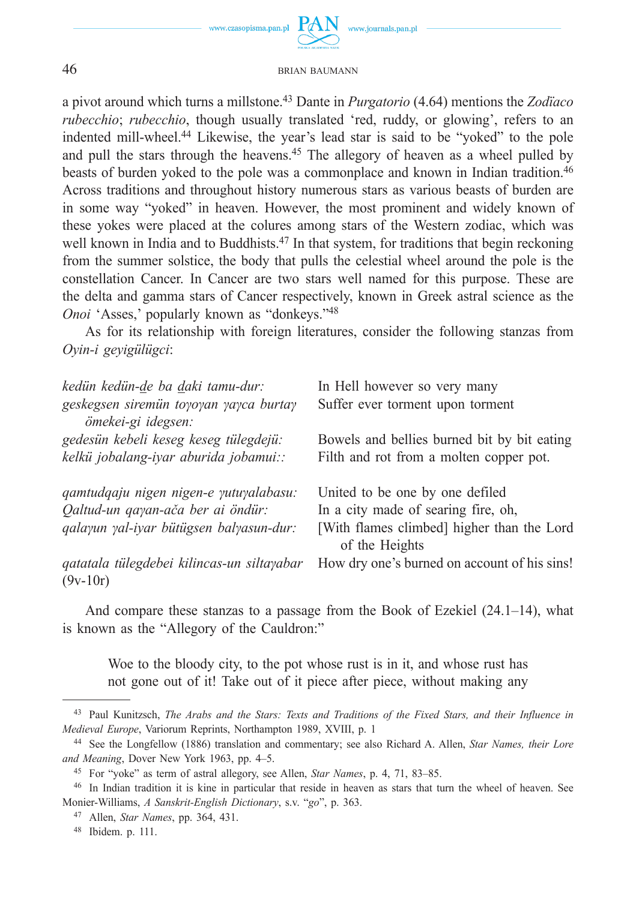

a pivot around which turns a millstone.43 Dante in *Purgatorio* (4.64) mentions the *Zodïaco rubecchio*; *rubecchio*, though usually translated 'red, ruddy, or glowing', refers to an indented mill-wheel.44 Likewise, the year's lead star is said to be "yoked" to the pole and pull the stars through the heavens.45 The allegory of heaven as a wheel pulled by beasts of burden yoked to the pole was a commonplace and known in Indian tradition.46 Across traditions and throughout history numerous stars as various beasts of burden are in some way "yoked" in heaven. However, the most prominent and widely known of these yokes were placed at the colures among stars of the Western zodiac, which was well known in India and to Buddhists.<sup>47</sup> In that system, for traditions that begin reckoning from the summer solstice, the body that pulls the celestial wheel around the pole is the constellation Cancer. In Cancer are two stars well named for this purpose. These are the delta and gamma stars of Cancer respectively, known in Greek astral science as the *Onoi* 'Asses,' popularly known as "donkeys."48

As for its relationship with foreign literatures, consider the following stanzas from *Oyin-i geyigülügci*:

| kedün kedün-de ba daki tamu-dur:<br>geskegsen siremün toyoyan yayca burtay<br>ömekei-gi idegsen:                       | In Hell however so very many<br>Suffer ever torment upon torment                                                                       |
|------------------------------------------------------------------------------------------------------------------------|----------------------------------------------------------------------------------------------------------------------------------------|
| gedesün kebeli keseg keseg tülegdejü:<br>kelkü jobalang-iyar aburida jobamui::                                         | Bowels and bellies burned bit by bit eating<br>Filth and rot from a molten copper pot.                                                 |
| qamtudqaju nigen nigen-e yutuyalabasu:<br>Qaltud-un qayan-ača ber ai öndür:<br>qalayun yal-iyar bütügsen balyasun-dur: | United to be one by one defiled<br>In a city made of searing fire, oh,<br>[With flames climbed] higher than the Lord<br>of the Heights |
| qatatala tülegdebei kilincas-un siltayabar<br>$(9v-10r)$                                                               | How dry one's burned on account of his sins!                                                                                           |

And compare these stanzas to a passage from the Book of Ezekiel (24.1–14), what is known as the "Allegory of the Cauldron:"

Woe to the bloody city, to the pot whose rust is in it, and whose rust has not gone out of it! Take out of it piece after piece, without making any

<sup>43</sup> Paul Kunitzsch, *The Arabs and the Stars: Texts and Traditions of the Fixed Stars, and their Influence in Medieval Europe*, Variorum Reprints, Northampton 1989, XVIII, p. 1

<sup>44</sup> See the Longfellow (1886) translation and commentary; see also Richard A. Allen, *Star Names, their Lore and Meaning*, Dover New York 1963, pp. 4–5.

<sup>45</sup> For "yoke" as term of astral allegory, see Allen, *Star Names*, p. 4, 71, 83–85.

<sup>46</sup> In Indian tradition it is kine in particular that reside in heaven as stars that turn the wheel of heaven. See Monier-Williams, *A Sanskrit-English Dictionary*, s.v. "*go*", p. 363.

<sup>47</sup> Allen, *Star Names*, pp. 364, 431.

<sup>48</sup> Ibidem. p. 111.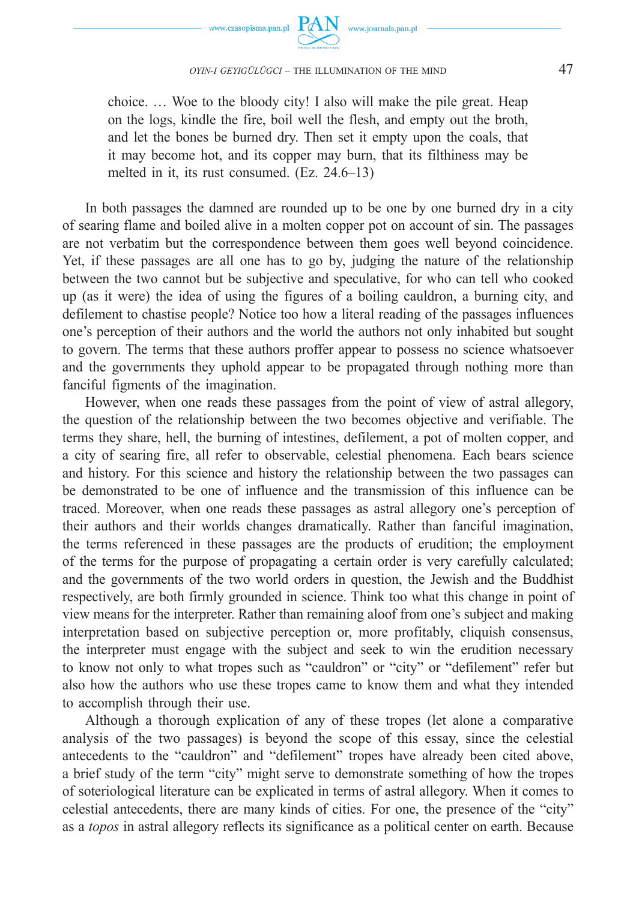



choice. … Woe to the bloody city! I also will make the pile great. Heap on the logs, kindle the fire, boil well the flesh, and empty out the broth, and let the bones be burned dry. Then set it empty upon the coals, that it may become hot, and its copper may burn, that its filthiness may be melted in it, its rust consumed. (Ez. 24.6–13)

In both passages the damned are rounded up to be one by one burned dry in a city of searing flame and boiled alive in a molten copper pot on account of sin. The passages are not verbatim but the correspondence between them goes well beyond coincidence. Yet, if these passages are all one has to go by, judging the nature of the relationship between the two cannot but be subjective and speculative, for who can tell who cooked up (as it were) the idea of using the figures of a boiling cauldron, a burning city, and defilement to chastise people? Notice too how a literal reading of the passages influences one's perception of their authors and the world the authors not only inhabited but sought to govern. The terms that these authors proffer appear to possess no science whatsoever and the governments they uphold appear to be propagated through nothing more than fanciful figments of the imagination.

However, when one reads these passages from the point of view of astral allegory, the question of the relationship between the two becomes objective and verifiable. The terms they share, hell, the burning of intestines, defilement, a pot of molten copper, and a city of searing fire, all refer to observable, celestial phenomena. Each bears science and history. For this science and history the relationship between the two passages can be demonstrated to be one of influence and the transmission of this influence can be traced. Moreover, when one reads these passages as astral allegory one's perception of their authors and their worlds changes dramatically. Rather than fanciful imagination, the terms referenced in these passages are the products of erudition; the employment of the terms for the purpose of propagating a certain order is very carefully calculated; and the governments of the two world orders in question, the Jewish and the Buddhist respectively, are both firmly grounded in science. Think too what this change in point of view means for the interpreter. Rather than remaining aloof from one's subject and making interpretation based on subjective perception or, more profitably, cliquish consensus, the interpreter must engage with the subject and seek to win the erudition necessary to know not only to what tropes such as "cauldron" or "city" or "defilement" refer but also how the authors who use these tropes came to know them and what they intended to accomplish through their use.

Although a thorough explication of any of these tropes (let alone a comparative analysis of the two passages) is beyond the scope of this essay, since the celestial antecedents to the "cauldron" and "defilement" tropes have already been cited above, a brief study of the term "city" might serve to demonstrate something of how the tropes of soteriological literature can be explicated in terms of astral allegory. When it comes to celestial antecedents, there are many kinds of cities. For one, the presence of the "city" as a *topos* in astral allegory reflects its significance as a political center on earth. Because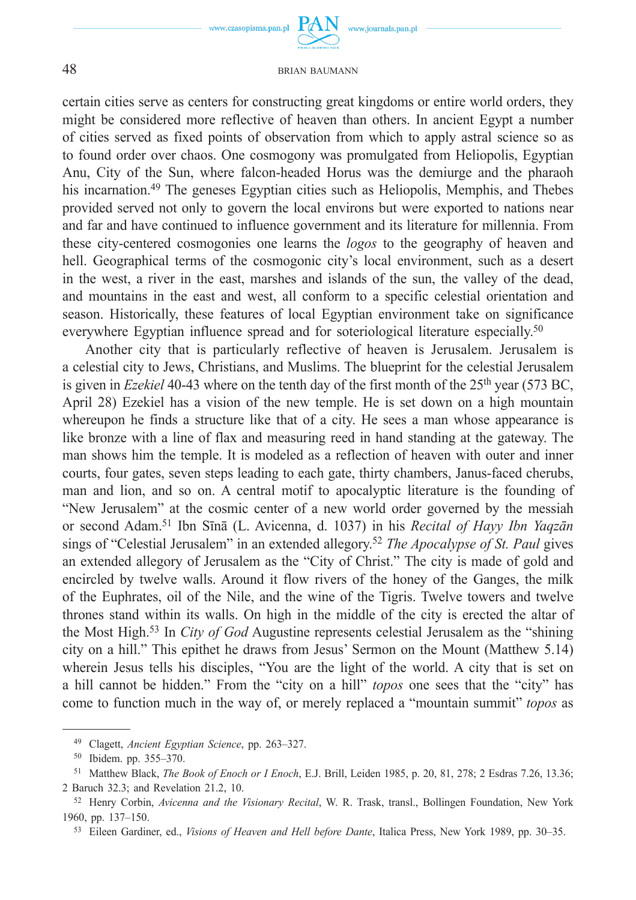

www.journals.pan.pl

#### 48 BRIAN BAUMANN

certain cities serve as centers for constructing great kingdoms or entire world orders, they might be considered more reflective of heaven than others. In ancient Egypt a number of cities served as fixed points of observation from which to apply astral science so as to found order over chaos. One cosmogony was promulgated from Heliopolis, Egyptian Anu, City of the Sun, where falcon-headed Horus was the demiurge and the pharaoh his incarnation.49 The geneses Egyptian cities such as Heliopolis, Memphis, and Thebes provided served not only to govern the local environs but were exported to nations near and far and have continued to influence government and its literature for millennia. From these city-centered cosmogonies one learns the *logos* to the geography of heaven and hell. Geographical terms of the cosmogonic city's local environment, such as a desert in the west, a river in the east, marshes and islands of the sun, the valley of the dead, and mountains in the east and west, all conform to a specific celestial orientation and season. Historically, these features of local Egyptian environment take on significance everywhere Egyptian influence spread and for soteriological literature especially.<sup>50</sup>

Another city that is particularly reflective of heaven is Jerusalem. Jerusalem is a celestial city to Jews, Christians, and Muslims. The blueprint for the celestial Jerusalem is given in *Ezekiel* 40-43 where on the tenth day of the first month of the 25<sup>th</sup> year (573 BC, April 28) Ezekiel has a vision of the new temple. He is set down on a high mountain whereupon he finds a structure like that of a city. He sees a man whose appearance is like bronze with a line of flax and measuring reed in hand standing at the gateway. The man shows him the temple. It is modeled as a reflection of heaven with outer and inner courts, four gates, seven steps leading to each gate, thirty chambers, Janus-faced cherubs, man and lion, and so on. A central motif to apocalyptic literature is the founding of "New Jerusalem" at the cosmic center of a new world order governed by the messiah or second Adam.51 Ibn Sīnā (L. Avicenna, d. 1037) in his *Recital of Hayy Ibn Yaqzān* sings of "Celestial Jerusalem" in an extended allegory.52 *The Apocalypse of St. Paul* gives an extended allegory of Jerusalem as the "City of Christ." The city is made of gold and encircled by twelve walls. Around it flow rivers of the honey of the Ganges, the milk of the Euphrates, oil of the Nile, and the wine of the Tigris. Twelve towers and twelve thrones stand within its walls. On high in the middle of the city is erected the altar of the Most High.53 In *City of God* Augustine represents celestial Jerusalem as the "shining city on a hill." This epithet he draws from Jesus' Sermon on the Mount (Matthew 5.14) wherein Jesus tells his disciples, "You are the light of the world. A city that is set on a hill cannot be hidden." From the "city on a hill" *topos* one sees that the "city" has come to function much in the way of, or merely replaced a "mountain summit" *topos* as

<sup>49</sup> Clagett, *Ancient Egyptian Science*, pp. 263–327.

<sup>50</sup> Ibidem. pp. 355–370.

<sup>51</sup> Matthew Black, *The Book of Enoch or I Enoch*, E.J. Brill, Leiden 1985, p. 20, 81, 278; 2 Esdras 7.26, 13.36; 2 Baruch 32.3; and Revelation 21.2, 10. 52 Henry Corbin, *Avicenna and the Visionary Recital*, W. R. Trask, transl., Bollingen Foundation, New York

<sup>1960,</sup> pp. 137–150.

<sup>53</sup> Eileen Gardiner, ed., *Visions of Heaven and Hell before Dante*, Italica Press, New York 1989, pp. 30–35.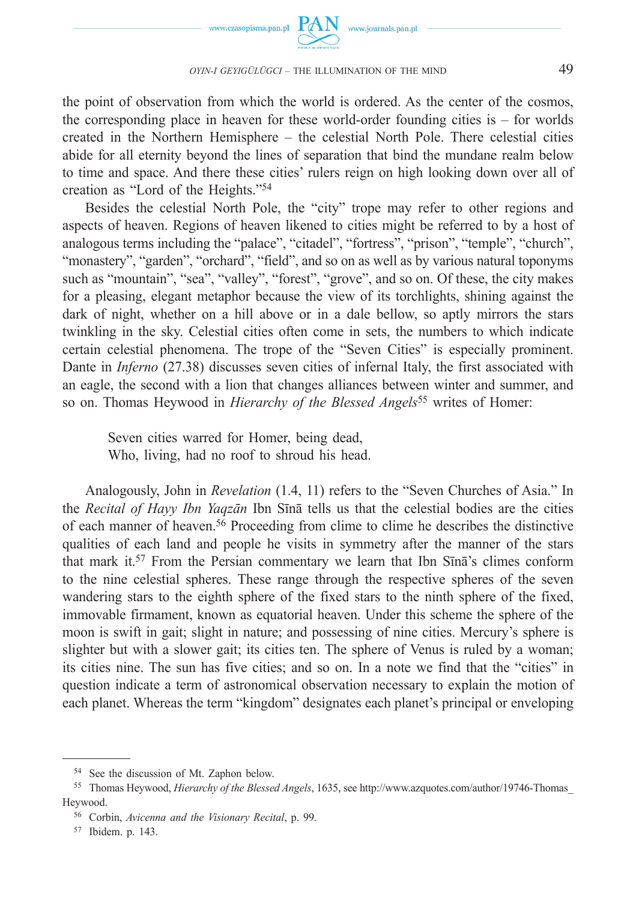

the point of observation from which the world is ordered. As the center of the cosmos, the corresponding place in heaven for these world-order founding cities is – for worlds created in the Northern Hemisphere – the celestial North Pole. There celestial cities abide for all eternity beyond the lines of separation that bind the mundane realm below to time and space. And there these cities' rulers reign on high looking down over all of creation as "Lord of the Heights."54

Besides the celestial North Pole, the "city" trope may refer to other regions and aspects of heaven. Regions of heaven likened to cities might be referred to by a host of analogous terms including the "palace", "citadel", "fortress", "prison", "temple", "church", "monastery", "garden", "orchard", "field", and so on as well as by various natural toponyms such as "mountain", "sea", "valley", "forest", "grove", and so on. Of these, the city makes for a pleasing, elegant metaphor because the view of its torchlights, shining against the dark of night, whether on a hill above or in a dale bellow, so aptly mirrors the stars twinkling in the sky. Celestial cities often come in sets, the numbers to which indicate certain celestial phenomena. The trope of the "Seven Cities" is especially prominent. Dante in *Inferno* (27.38) discusses seven cities of infernal Italy, the first associated with an eagle, the second with a lion that changes alliances between winter and summer, and so on. Thomas Heywood in *Hierarchy of the Blessed Angels*55 writes of Homer:

Seven cities warred for Homer, being dead, Who, living, had no roof to shroud his head.

Analogously, John in *Revelation* (1.4, 11) refers to the "Seven Churches of Asia." In the *Recital of Hayy Ibn Yaqzān* Ibn Sīnā tells us that the celestial bodies are the cities of each manner of heaven.56 Proceeding from clime to clime he describes the distinctive qualities of each land and people he visits in symmetry after the manner of the stars that mark it.57 From the Persian commentary we learn that Ibn Sīnā's climes conform to the nine celestial spheres. These range through the respective spheres of the seven wandering stars to the eighth sphere of the fixed stars to the ninth sphere of the fixed, immovable firmament, known as equatorial heaven. Under this scheme the sphere of the moon is swift in gait; slight in nature; and possessing of nine cities. Mercury's sphere is slighter but with a slower gait; its cities ten. The sphere of Venus is ruled by a woman; its cities nine. The sun has five cities; and so on. In a note we find that the "cities" in question indicate a term of astronomical observation necessary to explain the motion of each planet. Whereas the term "kingdom" designates each planet's principal or enveloping

<sup>54</sup> See the discussion of Mt. Zaphon below.

<sup>55</sup> Thomas Heywood, *Hierarchy of the Blessed Angels*, 1635, see http://www.azquotes.com/author/19746-Thomas\_ Heywood.

<sup>56</sup> Corbin, *Avicenna and the Visionary Recital*, p. 99.

<sup>57</sup> Ibidem. p. 143.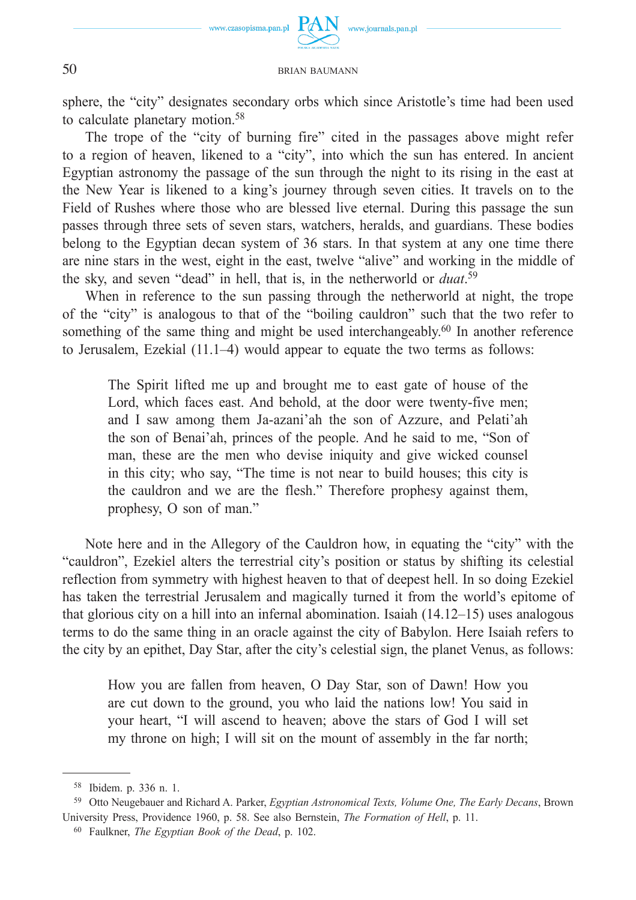

sphere, the "city" designates secondary orbs which since Aristotle's time had been used to calculate planetary motion.58

The trope of the "city of burning fire" cited in the passages above might refer to a region of heaven, likened to a "city", into which the sun has entered. In ancient Egyptian astronomy the passage of the sun through the night to its rising in the east at the New Year is likened to a king's journey through seven cities. It travels on to the Field of Rushes where those who are blessed live eternal. During this passage the sun passes through three sets of seven stars, watchers, heralds, and guardians. These bodies belong to the Egyptian decan system of 36 stars. In that system at any one time there are nine stars in the west, eight in the east, twelve "alive" and working in the middle of the sky, and seven "dead" in hell, that is, in the netherworld or *duat*. 59

When in reference to the sun passing through the netherworld at night, the trope of the "city" is analogous to that of the "boiling cauldron" such that the two refer to something of the same thing and might be used interchangeably.<sup>60</sup> In another reference to Jerusalem, Ezekial (11.1–4) would appear to equate the two terms as follows:

The Spirit lifted me up and brought me to east gate of house of the Lord, which faces east. And behold, at the door were twenty-five men; and I saw among them Ja-azani'ah the son of Azzure, and Pelati'ah the son of Benai'ah, princes of the people. And he said to me, "Son of man, these are the men who devise iniquity and give wicked counsel in this city; who say, "The time is not near to build houses; this city is the cauldron and we are the flesh." Therefore prophesy against them, prophesy, O son of man."

Note here and in the Allegory of the Cauldron how, in equating the "city" with the "cauldron", Ezekiel alters the terrestrial city's position or status by shifting its celestial reflection from symmetry with highest heaven to that of deepest hell. In so doing Ezekiel has taken the terrestrial Jerusalem and magically turned it from the world's epitome of that glorious city on a hill into an infernal abomination. Isaiah (14.12–15) uses analogous terms to do the same thing in an oracle against the city of Babylon. Here Isaiah refers to the city by an epithet, Day Star, after the city's celestial sign, the planet Venus, as follows:

How you are fallen from heaven, O Day Star, son of Dawn! How you are cut down to the ground, you who laid the nations low! You said in your heart, "I will ascend to heaven; above the stars of God I will set my throne on high; I will sit on the mount of assembly in the far north;

<sup>58</sup> Ibidem. p. 336 n. 1.

<sup>59</sup> Otto Neugebauer and Richard A. Parker, *Egyptian Astronomical Texts, Volume One, The Early Decans*, Brown University Press, Providence 1960, p. 58. See also Bernstein, *The Formation of Hell*, p. 11.

<sup>60</sup> Faulkner, *The Egyptian Book of the Dead*, p. 102.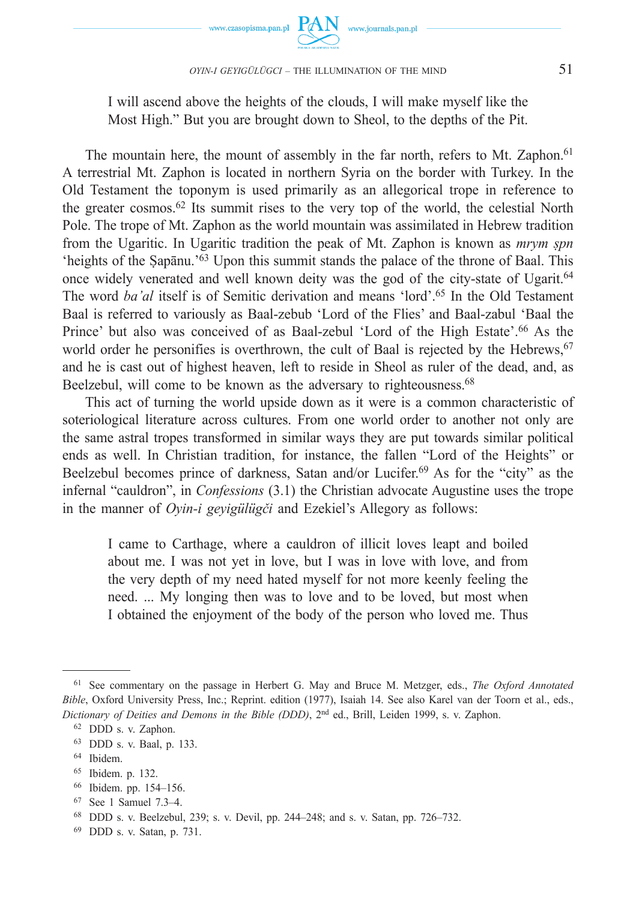

I will ascend above the heights of the clouds, I will make myself like the Most High." But you are brought down to Sheol, to the depths of the Pit.

The mountain here, the mount of assembly in the far north, refers to Mt. Zaphon.<sup>61</sup> A terrestrial Mt. Zaphon is located in northern Syria on the border with Turkey. In the Old Testament the toponym is used primarily as an allegorical trope in reference to the greater cosmos.62 Its summit rises to the very top of the world, the celestial North Pole. The trope of Mt. Zaphon as the world mountain was assimilated in Hebrew tradition from the Ugaritic. In Ugaritic tradition the peak of Mt. Zaphon is known as *mrym ṣpn* 'heights of the Ṣapānu.'63 Upon this summit stands the palace of the throne of Baal. This once widely venerated and well known deity was the god of the city-state of Ugarit.64 The word *ba'al* itself is of Semitic derivation and means 'lord'.65 In the Old Testament Baal is referred to variously as Baal-zebub 'Lord of the Flies' and Baal-zabul 'Baal the Prince' but also was conceived of as Baal-zebul 'Lord of the High Estate'.66 As the world order he personifies is overthrown, the cult of Baal is rejected by the Hebrews,  $67$ and he is cast out of highest heaven, left to reside in Sheol as ruler of the dead, and, as Beelzebul, will come to be known as the adversary to righteousness.<sup>68</sup>

This act of turning the world upside down as it were is a common characteristic of soteriological literature across cultures. From one world order to another not only are the same astral tropes transformed in similar ways they are put towards similar political ends as well. In Christian tradition, for instance, the fallen "Lord of the Heights" or Beelzebul becomes prince of darkness, Satan and/or Lucifer.<sup>69</sup> As for the "city" as the infernal "cauldron", in *Confessions* (3.1) the Christian advocate Augustine uses the trope in the manner of *Oyin-i geyigülügči* and Ezekiel's Allegory as follows:

I came to Carthage, where a cauldron of illicit loves leapt and boiled about me. I was not yet in love, but I was in love with love, and from the very depth of my need hated myself for not more keenly feeling the need. ... My longing then was to love and to be loved, but most when I obtained the enjoyment of the body of the person who loved me. Thus

<sup>61</sup> See commentary on the passage in Herbert G. May and Bruce M. Metzger, eds., *The Oxford Annotated Bible*, Oxford University Press, Inc.; Reprint. edition (1977), Isaiah 14. See also Karel van der Toorn et al., eds., *Dictionary of Deities and Demons in the Bible (DDD)*, 2nd ed., Brill, Leiden 1999, s. v. Zaphon.

<sup>62</sup> DDD s. v. Zaphon.

<sup>63</sup> DDD s. v. Baal, p. 133.

<sup>64</sup> Ibidem.

<sup>65</sup> Ibidem. p. 132.

<sup>66</sup> Ibidem. pp. 154–156.

<sup>67</sup> See 1 Samuel 7.3–4.

<sup>68</sup> DDD s. v. Beelzebul, 239; s. v. Devil, pp. 244–248; and s. v. Satan, pp. 726–732.

<sup>69</sup> DDD s. v. Satan, p. 731.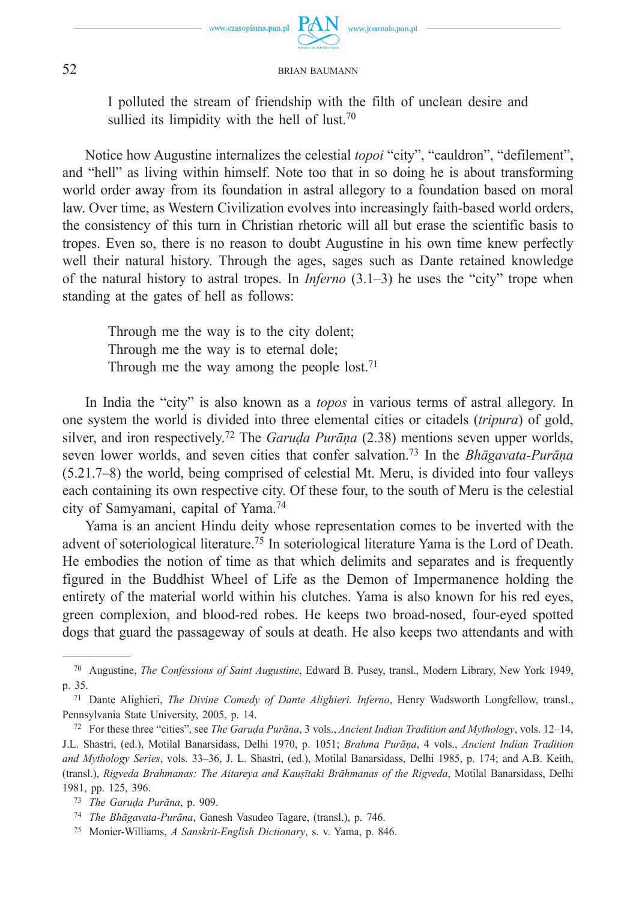

www.journals.pan.pl

I polluted the stream of friendship with the filth of unclean desire and sullied its limpidity with the hell of lust.<sup>70</sup>

Notice how Augustine internalizes the celestial *topoi* "city", "cauldron", "defilement", and "hell" as living within himself. Note too that in so doing he is about transforming world order away from its foundation in astral allegory to a foundation based on moral law. Over time, as Western Civilization evolves into increasingly faith-based world orders, the consistency of this turn in Christian rhetoric will all but erase the scientific basis to tropes. Even so, there is no reason to doubt Augustine in his own time knew perfectly well their natural history. Through the ages, sages such as Dante retained knowledge of the natural history to astral tropes. In *Inferno* (3.1–3) he uses the "city" trope when standing at the gates of hell as follows:

Through me the way is to the city dolent; Through me the way is to eternal dole; Through me the way among the people lost.<sup>71</sup>

In India the "city" is also known as a *topos* in various terms of astral allegory. In one system the world is divided into three elemental cities or citadels (*tripura*) of gold, silver, and iron respectively.72 The *Garuḍa Purāṇa* (2.38) mentions seven upper worlds, seven lower worlds, and seven cities that confer salvation.73 In the *Bhāgavata-Purāṇa* (5.21.7–8) the world, being comprised of celestial Mt. Meru, is divided into four valleys each containing its own respective city. Of these four, to the south of Meru is the celestial city of Samyamani, capital of Yama.74

Yama is an ancient Hindu deity whose representation comes to be inverted with the advent of soteriological literature.<sup>75</sup> In soteriological literature Yama is the Lord of Death. He embodies the notion of time as that which delimits and separates and is frequently figured in the Buddhist Wheel of Life as the Demon of Impermanence holding the entirety of the material world within his clutches. Yama is also known for his red eyes, green complexion, and blood-red robes. He keeps two broad-nosed, four-eyed spotted dogs that guard the passageway of souls at death. He also keeps two attendants and with

<sup>70</sup> Augustine, *The Confessions of Saint Augustine*, Edward B. Pusey, transl., Modern Library, New York 1949, p. 35.

<sup>71</sup> Dante Alighieri, *The Divine Comedy of Dante Alighieri. Inferno*, Henry Wadsworth Longfellow, transl., Pennsylvania State University, 2005, p. 14.

<sup>72</sup> For these three "cities", see *The Garuḍa Purāna*, 3 vols., *Ancient Indian Tradition and Mythology*, vols. 12–14, J.L. Shastri, (ed.), Motilal Banarsidass, Delhi 1970, p. 1051; *Brahma Purāṇa*, 4 vols., *Ancient Indian Tradition and Mythology Series*, vols. 33–36, J. L. Shastri, (ed.), Motilal Banarsidass, Delhi 1985, p. 174; and A.B. Keith, (transl.), *Rigveda Brahmanas: The Aitareya and Kauṣītaki Brāhmanas of the Rigveda*, Motilal Banarsidass, Delhi 1981, pp. 125, 396.

<sup>73</sup> *The Garuḍa Purāna*, p. 909.

<sup>74</sup> *The Bhāgavata-Purāna*, Ganesh Vasudeo Tagare, (transl.), p. 746.

<sup>75</sup> Monier-Williams, *A Sanskrit-English Dictionary*, s. v. Yama, p. 846.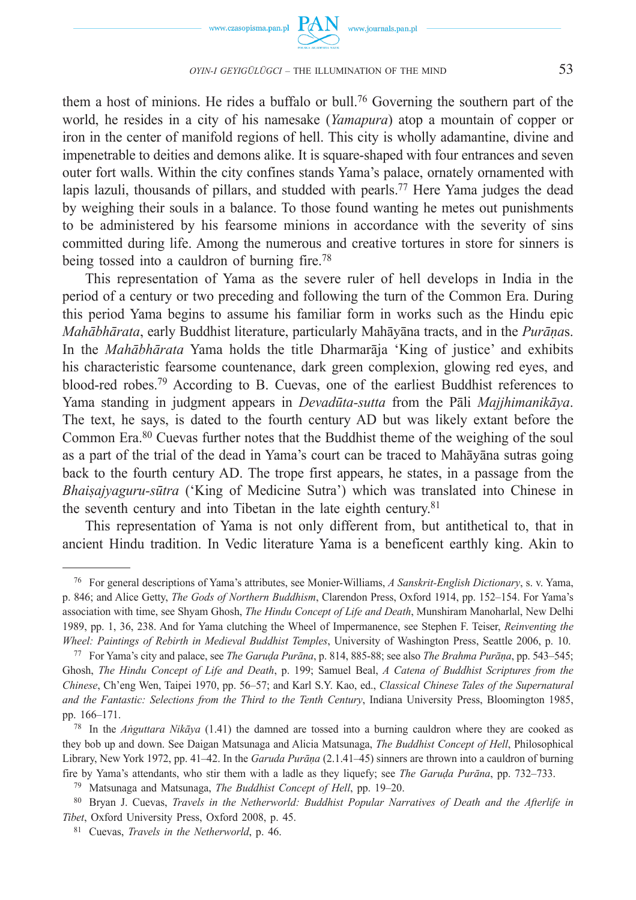

them a host of minions. He rides a buffalo or bull.76 Governing the southern part of the world, he resides in a city of his namesake (*Yamapura*) atop a mountain of copper or iron in the center of manifold regions of hell. This city is wholly adamantine, divine and impenetrable to deities and demons alike. It is square-shaped with four entrances and seven outer fort walls. Within the city confines stands Yama's palace, ornately ornamented with lapis lazuli, thousands of pillars, and studded with pearls.<sup>77</sup> Here Yama judges the dead by weighing their souls in a balance. To those found wanting he metes out punishments to be administered by his fearsome minions in accordance with the severity of sins committed during life. Among the numerous and creative tortures in store for sinners is being tossed into a cauldron of burning fire.78

This representation of Yama as the severe ruler of hell develops in India in the period of a century or two preceding and following the turn of the Common Era. During this period Yama begins to assume his familiar form in works such as the Hindu epic *Mahābhārata*, early Buddhist literature, particularly Mahāyāna tracts, and in the *Purāṇa*s. In the *Mahābhārata* Yama holds the title Dharmarāja 'King of justice' and exhibits his characteristic fearsome countenance, dark green complexion, glowing red eyes, and blood-red robes.79 According to B. Cuevas, one of the earliest Buddhist references to Yama standing in judgment appears in *Devadūta-sutta* from the Pāli *Majjhimanikāya*. The text, he says, is dated to the fourth century AD but was likely extant before the Common Era.80 Cuevas further notes that the Buddhist theme of the weighing of the soul as a part of the trial of the dead in Yama's court can be traced to Mahāyāna sutras going back to the fourth century AD. The trope first appears, he states, in a passage from the *Bhaiṣajyaguru-sūtra* ('King of Medicine Sutra') which was translated into Chinese in the seventh century and into Tibetan in the late eighth century.81

This representation of Yama is not only different from, but antithetical to, that in ancient Hindu tradition. In Vedic literature Yama is a beneficent earthly king. Akin to

<sup>76</sup> For general descriptions of Yama's attributes, see Monier-Williams, *A Sanskrit-English Dictionary*, s. v. Yama, p. 846; and Alice Getty, *The Gods of Northern Buddhism*, Clarendon Press, Oxford 1914, pp. 152–154. For Yama's association with time, see Shyam Ghosh, *The Hindu Concept of Life and Death*, Munshiram Manoharlal, New Delhi 1989, pp. 1, 36, 238. And for Yama clutching the Wheel of Impermanence, see Stephen F. Teiser, *Reinventing the Wheel: Paintings of Rebirth in Medieval Buddhist Temples*, University of Washington Press, Seattle 2006, p. 10.

<sup>77</sup> For Yama's city and palace, see *The Garuḍa Purāna*, p. 814, 885-88; see also *The Brahma Purāṇa*, pp. 543–545; Ghosh, *The Hindu Concept of Life and Death*, p. 199; Samuel Beal, *A Catena of Buddhist Scriptures from the Chinese*, Ch'eng Wen, Taipei 1970, pp. 56–57; and Karl S.Y. Kao, ed., *Classical Chinese Tales of the Supernatural and the Fantastic: Selections from the Third to the Tenth Century*, Indiana University Press, Bloomington 1985, pp. 166–171.

<sup>78</sup> In the *Aṅguttara Nikāya* (1.41) the damned are tossed into a burning cauldron where they are cooked as they bob up and down. See Daigan Matsunaga and Alicia Matsunaga, *The Buddhist Concept of Hell*, Philosophical Library, New York 1972, pp. 41–42. In the *Garuda Purāṇa* (2.1.41–45) sinners are thrown into a cauldron of burning fire by Yama's attendants, who stir them with a ladle as they liquefy; see *The Garuḍa Purāna*, pp. 732–733.

<sup>79</sup> Matsunaga and Matsunaga, *The Buddhist Concept of Hell*, pp. 19–20.

<sup>80</sup> Bryan J. Cuevas, *Travels in the Netherworld: Buddhist Popular Narratives of Death and the Afterlife in Tibet*, Oxford University Press, Oxford 2008, p. 45.

<sup>81</sup> Cuevas, *Travels in the Netherworld*, p. 46.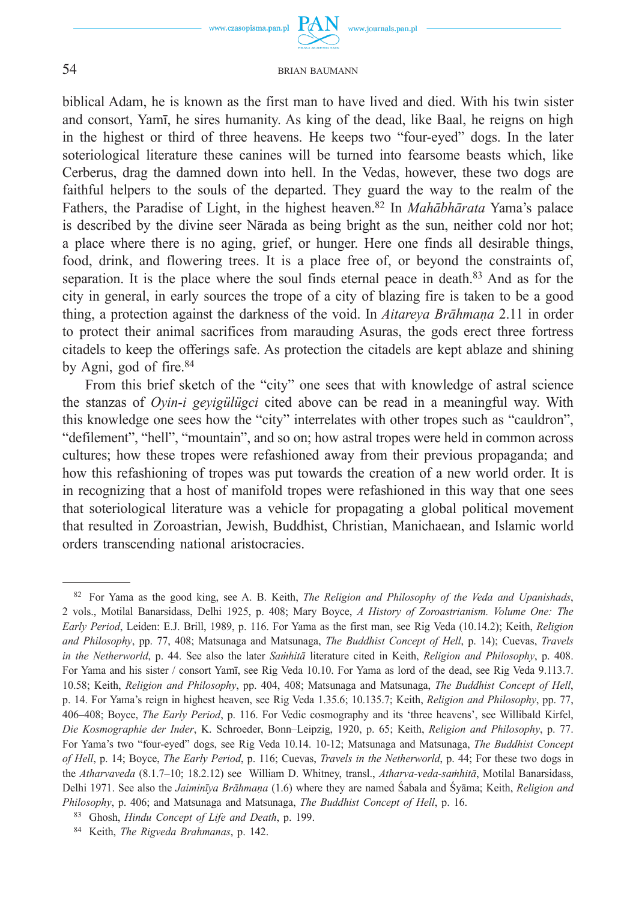

www.journals.pan.pl

#### 54 BRIAN BAUMANN

biblical Adam, he is known as the first man to have lived and died. With his twin sister and consort, Yamī, he sires humanity. As king of the dead, like Baal, he reigns on high in the highest or third of three heavens. He keeps two "four-eyed" dogs. In the later soteriological literature these canines will be turned into fearsome beasts which, like Cerberus, drag the damned down into hell. In the Vedas, however, these two dogs are faithful helpers to the souls of the departed. They guard the way to the realm of the Fathers, the Paradise of Light, in the highest heaven.82 In *Mahābhārata* Yama's palace is described by the divine seer Nārada as being bright as the sun, neither cold nor hot; a place where there is no aging, grief, or hunger. Here one finds all desirable things, food, drink, and flowering trees. It is a place free of, or beyond the constraints of, separation. It is the place where the soul finds eternal peace in death.83 And as for the city in general, in early sources the trope of a city of blazing fire is taken to be a good thing, a protection against the darkness of the void. In *Aitareya Brāhmaṇa* 2.11 in order to protect their animal sacrifices from marauding Asuras, the gods erect three fortress citadels to keep the offerings safe. As protection the citadels are kept ablaze and shining by Agni, god of fire.84

From this brief sketch of the "city" one sees that with knowledge of astral science the stanzas of *Oyin-i geyigülügci* cited above can be read in a meaningful way. With this knowledge one sees how the "city" interrelates with other tropes such as "cauldron", "defilement", "hell", "mountain", and so on; how astral tropes were held in common across cultures; how these tropes were refashioned away from their previous propaganda; and how this refashioning of tropes was put towards the creation of a new world order. It is in recognizing that a host of manifold tropes were refashioned in this way that one sees that soteriological literature was a vehicle for propagating a global political movement that resulted in Zoroastrian, Jewish, Buddhist, Christian, Manichaean, and Islamic world orders transcending national aristocracies.

<sup>82</sup> For Yama as the good king, see A. B. Keith, *The Religion and Philosophy of the Veda and Upanishads*, 2 vols., Motilal Banarsidass, Delhi 1925, p. 408; Mary Boyce, *A History of Zoroastrianism. Volume One: The Early Period*, Leiden: E.J. Brill, 1989, p. 116. For Yama as the first man, see Rig Veda (10.14.2); Keith, *Religion and Philosophy*, pp. 77, 408; Matsunaga and Matsunaga, *The Buddhist Concept of Hell*, p. 14); Cuevas, *Travels in the Netherworld*, p. 44. See also the later *Saṁhitā* literature cited in Keith, *Religion and Philosophy*, p. 408. For Yama and his sister / consort Yamī, see Rig Veda 10.10. For Yama as lord of the dead, see Rig Veda 9.113.7. 10.58; Keith, *Religion and Philosophy*, pp. 404, 408; Matsunaga and Matsunaga, *The Buddhist Concept of Hell*, p. 14. For Yama's reign in highest heaven, see Rig Veda 1.35.6; 10.135.7; Keith, *Religion and Philosophy*, pp. 77, 406–408; Boyce, *The Early Period*, p. 116. For Vedic cosmography and its 'three heavens', see Willibald Kirfel, *Die Kosmographie der Inder*, K. Schroeder, Bonn–Leipzig, 1920, p. 65; Keith, *Religion and Philosophy*, p. 77. For Yama's two "four-eyed" dogs, see Rig Veda 10.14. 10-12; Matsunaga and Matsunaga, *The Buddhist Concept of Hell*, p. 14; Boyce, *The Early Period*, p. 116; Cuevas, *Travels in the Netherworld*, p. 44; For these two dogs in the *Atharvaveda* (8.1.7–10; 18.2.12) see William D. Whitney, transl., *Atharva-veda-saṁhitā*, Motilal Banarsidass, Delhi 1971. See also the *Jaiminīya Brāhmaṇa* (1.6) where they are named Śabala and Śyāma; Keith, *Religion and Philosophy*, p. 406; and Matsunaga and Matsunaga, *The Buddhist Concept of Hell*, p. 16.

<sup>83</sup> Ghosh, *Hindu Concept of Life and Death*, p. 199.

<sup>84</sup> Keith, *The Rigveda Brahmanas*, p. 142.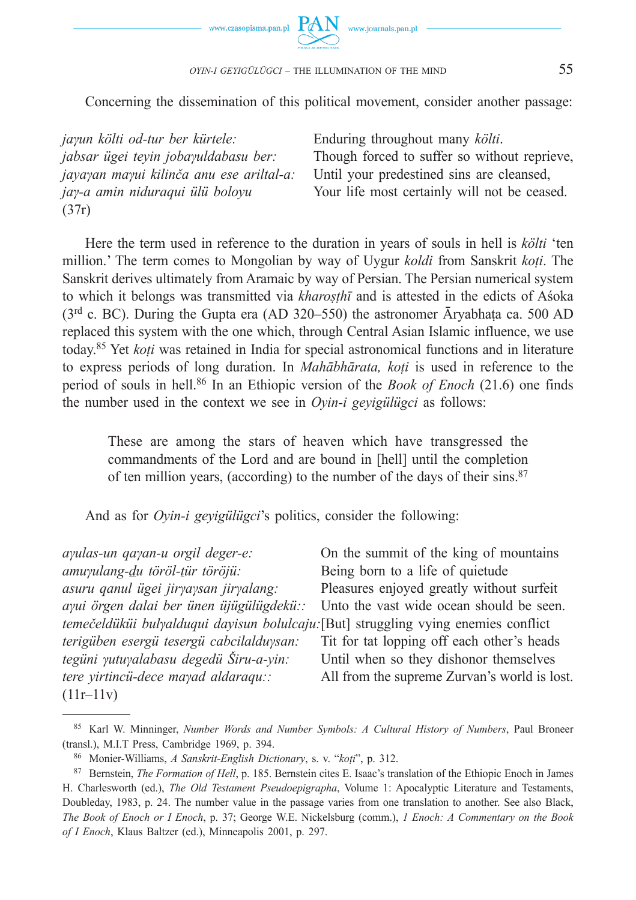

Concerning the dissemination of this political movement, consider another passage:

*jaγun költi od-tur ber kürtele: jabsar ügei teyin jobaγuldabasu ber: jayaγan maγui kilinča anu ese ariltal-a: jaγ-a amin niduraqui ülü boloyu* (37r)

Enduring throughout many *költi*. Though forced to suffer so without reprieve, Until your predestined sins are cleansed, Your life most certainly will not be ceased.

Here the term used in reference to the duration in years of souls in hell is *költi* 'ten million.' The term comes to Mongolian by way of Uygur *koldi* from Sanskrit *koṭi*. The Sanskrit derives ultimately from Aramaic by way of Persian. The Persian numerical system to which it belongs was transmitted via *kharoṣṭhī* and is attested in the edicts of Aśoka ( $3<sup>rd</sup>$  c. BC). During the Gupta era (AD 320–550) the astronomer Āryabhata ca. 500 AD replaced this system with the one which, through Central Asian Islamic influence, we use today.85 Yet *koṭi* was retained in India for special astronomical functions and in literature to express periods of long duration. In *Mahābhārata, koṭi* is used in reference to the period of souls in hell.86 In an Ethiopic version of the *Book of Enoch* (21.6) one finds the number used in the context we see in *Oyin-i geyigülügci* as follows:

These are among the stars of heaven which have transgressed the commandments of the Lord and are bound in [hell] until the completion of ten million years, (according) to the number of the days of their sins.87

And as for *Oyin-i geyigülügci*'s politics, consider the following:

| ayulas-un qayan-u orgil deger-e:                                                    | On the summit of the king of mountains       |
|-------------------------------------------------------------------------------------|----------------------------------------------|
| amuyulang-du töröl-tür töröjü:                                                      | Being born to a life of quietude             |
| asuru qanul ügei jiryaysan jiryalang:                                               | Pleasures enjoyed greatly without surfeit    |
| ayui örgen dalai ber ünen üjügülügdekü::                                            | Unto the vast wide ocean should be seen.     |
| temečeldüküi bulyalduqui dayisun bolulcaju: [But] struggling vying enemies conflict |                                              |
| terigüben esergü tesergü cabcilalduysan:                                            | Tit for tat lopping off each other's heads   |
| tegüni yutuyalabasu degedü Širu-a-yin:                                              | Until when so they dishonor themselves       |
| tere yirtincü-dece mayad aldaraqu::                                                 | All from the supreme Zurvan's world is lost. |
| $(11r-11v)$                                                                         |                                              |

<sup>85</sup> Karl W. Minninger, *Number Words and Number Symbols: A Cultural History of Numbers*, Paul Broneer (transl.), M.I.T Press, Cambridge 1969, p. 394.

<sup>86</sup> Monier-Williams, *A Sanskrit-English Dictionary*, s. v. "*koṭi*", p. 312.

<sup>87</sup> Bernstein, *The Formation of Hell*, p. 185. Bernstein cites E. Isaac's translation of the Ethiopic Enoch in James H. Charlesworth (ed.), *The Old Testament Pseudoepigrapha*, Volume 1: Apocalyptic Literature and Testaments, Doubleday, 1983, p. 24. The number value in the passage varies from one translation to another. See also Black, *The Book of Enoch or I Enoch*, p. 37; George W.E. Nickelsburg (comm.), *1 Enoch: A Commentary on the Book of I Enoch*, Klaus Baltzer (ed.), Minneapolis 2001, p. 297.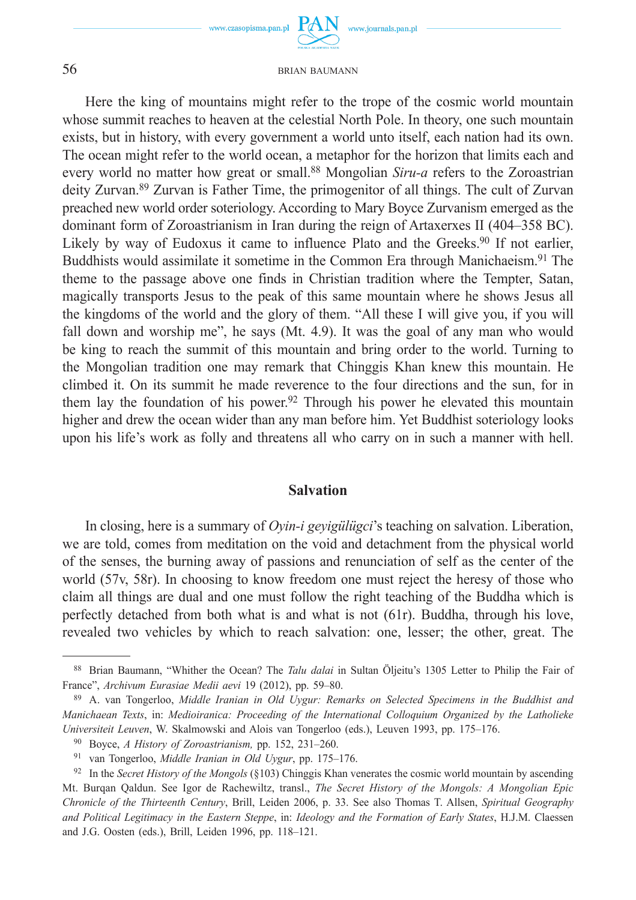www.czasopisma.pan.pl

www.journals.pan.pl

56 BRIAN BAUMANN

Here the king of mountains might refer to the trope of the cosmic world mountain whose summit reaches to heaven at the celestial North Pole. In theory, one such mountain exists, but in history, with every government a world unto itself, each nation had its own. The ocean might refer to the world ocean, a metaphor for the horizon that limits each and every world no matter how great or small.88 Mongolian *Siru-a* refers to the Zoroastrian deity Zurvan.89 Zurvan is Father Time, the primogenitor of all things. The cult of Zurvan preached new world order soteriology. According to Mary Boyce Zurvanism emerged as the dominant form of Zoroastrianism in Iran during the reign of Artaxerxes II (404–358 BC). Likely by way of Eudoxus it came to influence Plato and the Greeks.<sup>90</sup> If not earlier, Buddhists would assimilate it sometime in the Common Era through Manichaeism.91 The theme to the passage above one finds in Christian tradition where the Tempter, Satan, magically transports Jesus to the peak of this same mountain where he shows Jesus all the kingdoms of the world and the glory of them. "All these I will give you, if you will fall down and worship me", he says (Mt. 4.9). It was the goal of any man who would be king to reach the summit of this mountain and bring order to the world. Turning to the Mongolian tradition one may remark that Chinggis Khan knew this mountain. He climbed it. On its summit he made reverence to the four directions and the sun, for in them lay the foundation of his power.<sup>92</sup> Through his power he elevated this mountain higher and drew the ocean wider than any man before him. Yet Buddhist soteriology looks upon his life's work as folly and threatens all who carry on in such a manner with hell.

#### **Salvation**

In closing, here is a summary of *Oyin-i geyigülügci*'s teaching on salvation. Liberation, we are told, comes from meditation on the void and detachment from the physical world of the senses, the burning away of passions and renunciation of self as the center of the world (57v, 58r). In choosing to know freedom one must reject the heresy of those who claim all things are dual and one must follow the right teaching of the Buddha which is perfectly detached from both what is and what is not (61r). Buddha, through his love, revealed two vehicles by which to reach salvation: one, lesser; the other, great. The

<sup>88</sup> Brian Baumann, "Whither the Ocean? The *Talu dalai* in Sultan Öljeitu's 1305 Letter to Philip the Fair of France", *Archivum Eurasiae Medii aevi* 19 (2012), pp. 59–80.

<sup>89</sup> A. van Tongerloo, *Middle Iranian in Old Uygur: Remarks on Selected Specimens in the Buddhist and Manichaean Texts*, in: *Medioiranica: Proceeding of the International Colloquium Organized by the Latholieke Universiteit Leuven*, W. Skalmowski and Alois van Tongerloo (eds.), Leuven 1993, pp. 175–176.

<sup>90</sup> Boyce, *A History of Zoroastrianism,* pp. 152, 231–260.

<sup>91</sup> van Tongerloo, *Middle Iranian in Old Uygur*, pp. 175–176.

<sup>92</sup> In the *Secret History of the Mongols* (§103) Chinggis Khan venerates the cosmic world mountain by ascending Mt. Burqan Qaldun. See Igor de Rachewiltz, transl., *The Secret History of the Mongols: A Mongolian Epic Chronicle of the Thirteenth Century*, Brill, Leiden 2006, p. 33. See also Thomas T. Allsen, *Spiritual Geography and Political Legitimacy in the Eastern Steppe*, in: *Ideology and the Formation of Early States*, H.J.M. Claessen and J.G. Oosten (eds.), Brill, Leiden 1996, pp. 118–121.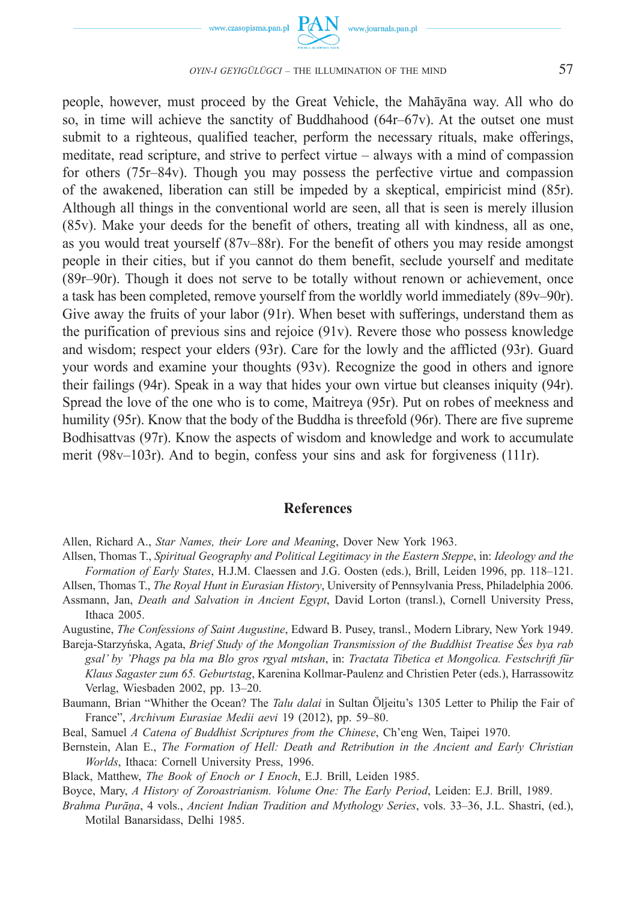

people, however, must proceed by the Great Vehicle, the Mahāyāna way. All who do so, in time will achieve the sanctity of Buddhahood  $(64r-67v)$ . At the outset one must submit to a righteous, qualified teacher, perform the necessary rituals, make offerings, meditate, read scripture, and strive to perfect virtue – always with a mind of compassion for others (75r–84v). Though you may possess the perfective virtue and compassion of the awakened, liberation can still be impeded by a skeptical, empiricist mind (85r). Although all things in the conventional world are seen, all that is seen is merely illusion (85v). Make your deeds for the benefit of others, treating all with kindness, all as one, as you would treat yourself (87v–88r). For the benefit of others you may reside amongst people in their cities, but if you cannot do them benefit, seclude yourself and meditate (89r–90r). Though it does not serve to be totally without renown or achievement, once a task has been completed, remove yourself from the worldly world immediately (89v–90r). Give away the fruits of your labor (91r). When beset with sufferings, understand them as the purification of previous sins and rejoice (91v). Revere those who possess knowledge and wisdom; respect your elders (93r). Care for the lowly and the afflicted (93r). Guard your words and examine your thoughts (93v). Recognize the good in others and ignore their failings (94r). Speak in a way that hides your own virtue but cleanses iniquity (94r). Spread the love of the one who is to come, Maitreya (95r). Put on robes of meekness and humility (95r). Know that the body of the Buddha is threefold (96r). There are five supreme Bodhisattvas (97r). Know the aspects of wisdom and knowledge and work to accumulate merit (98v–103r). And to begin, confess your sins and ask for forgiveness (111r).

#### **References**

- Allsen, Thomas T., *Spiritual Geography and Political Legitimacy in the Eastern Steppe*, in: *Ideology and the Formation of Early States*, H.J.M. Claessen and J.G. Oosten (eds.), Brill, Leiden 1996, pp. 118–121.
- Allsen, Thomas T., *The Royal Hunt in Eurasian History*, University of Pennsylvania Press, Philadelphia 2006. Assmann, Jan, *Death and Salvation in Ancient Egypt*, David Lorton (transl.), Cornell University Press,
- Ithaca 2005.
- Augustine, *The Confessions of Saint Augustine*, Edward B. Pusey, transl., Modern Library, New York 1949. Bareja-Starzyńska, Agata, *Brief Study of the Mongolian Transmission of the Buddhist Treatise Ses bya rab gsal' by 'Phags pa bla ma Blo gros rgyal mtshan*, in: *Tractata Tibetica et Mongolica. Festschrift für Klaus Sagaster zum 65. Geburtstag*, Karenina Kollmar-Paulenz and Christien Peter (eds.), Harrassowitz Verlag, Wiesbaden 2002, pp. 13–20.
- Baumann, Brian "Whither the Ocean? The *Talu dalai* in Sultan Öljeitu's 1305 Letter to Philip the Fair of France", *Archivum Eurasiae Medii aevi* 19 (2012), pp. 59–80.
- Beal, Samuel *A Catena of Buddhist Scriptures from the Chinese*, Ch'eng Wen, Taipei 1970.
- Bernstein, Alan E., *The Formation of Hell: Death and Retribution in the Ancient and Early Christian Worlds*, Ithaca: Cornell University Press, 1996.
- Black, Matthew, *The Book of Enoch or I Enoch*, E.J. Brill, Leiden 1985.
- Boyce, Mary, *A History of Zoroastrianism. Volume One: The Early Period*, Leiden: E.J. Brill, 1989.
- *Brahma Purāṇa*, 4 vols., *Ancient Indian Tradition and Mythology Series*, vols. 33–36, J.L. Shastri, (ed.), Motilal Banarsidass, Delhi 1985.

Allen, Richard A., *Star Names, their Lore and Meaning*, Dover New York 1963.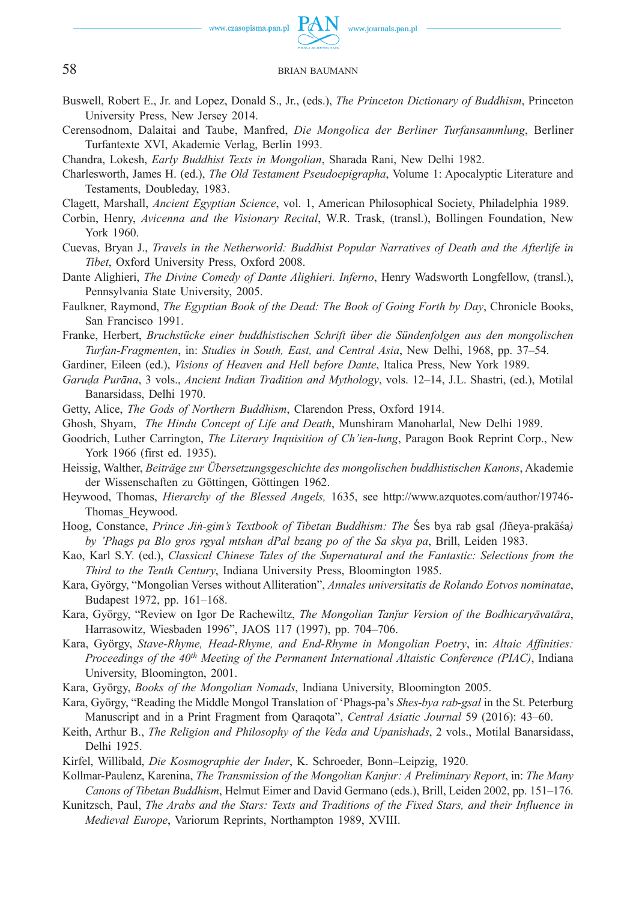

- Buswell, Robert E., Jr. and Lopez, Donald S., Jr., (eds.), *The Princeton Dictionary of Buddhism*, Princeton University Press, New Jersey 2014.
- Cerensodnom, Dalaitai and Taube, Manfred, *Die Mongolica der Berliner Turfansammlung*, Berliner Turfantexte XVI, Akademie Verlag, Berlin 1993.
- Chandra, Lokesh, *Early Buddhist Texts in Mongolian*, Sharada Rani, New Delhi 1982.
- Charlesworth, James H. (ed.), *The Old Testament Pseudoepigrapha*, Volume 1: Apocalyptic Literature and Testaments, Doubleday, 1983.
- Clagett, Marshall, *Ancient Egyptian Science*, vol. 1, American Philosophical Society, Philadelphia 1989.
- Corbin, Henry, *Avicenna and the Visionary Recital*, W.R. Trask, (transl.), Bollingen Foundation, New York 1960.
- Cuevas, Bryan J., *Travels in the Netherworld: Buddhist Popular Narratives of Death and the Afterlife in Tibet*, Oxford University Press, Oxford 2008.
- Dante Alighieri, *The Divine Comedy of Dante Alighieri. Inferno*, Henry Wadsworth Longfellow, (transl.), Pennsylvania State University, 2005.
- Faulkner, Raymond, *The Egyptian Book of the Dead: The Book of Going Forth by Day*, Chronicle Books, San Francisco 1991.
- Franke, Herbert, *Bruchstücke einer buddhistischen Schrift über die Sündenfolgen aus den mongolischen Turfan-Fragmenten*, in: *Studies in South, East, and Central Asia*, New Delhi, 1968, pp. 37–54.
- Gardiner, Eileen (ed.), *Visions of Heaven and Hell before Dante*, Italica Press, New York 1989.
- *Garuḍa Purāna*, 3 vols., *Ancient Indian Tradition and Mythology*, vols. 12–14, J.L. Shastri, (ed.), Motilal Banarsidass, Delhi 1970.
- Getty, Alice, *The Gods of Northern Buddhism*, Clarendon Press, Oxford 1914.
- Ghosh, Shyam, *The Hindu Concept of Life and Death*, Munshiram Manoharlal, New Delhi 1989.
- Goodrich, Luther Carrington, *The Literary Inquisition of Ch'ien-lung*, Paragon Book Reprint Corp., New York 1966 (first ed. 1935).
- Heissig, Walther, *Beiträge zur Übersetzungsgeschichte des mongolischen buddhistischen Kanons*, Akademie der Wissenschaften zu Göttingen, Göttingen 1962.
- Heywood, Thomas, *Hierarchy of the Blessed Angels,* 1635, see http://www.azquotes.com/author/19746- Thomas\_Heywood.
- Hoog, Constance, *Prince Jiṅ-gim's Textbook of Tibetan Buddhism: The* Śes bya rab gsal *(*Jñeya-prakāśa*) by 'Phags pa Blo gros rgyal mtshan dPal bzang po of the Sa skya pa*, Brill, Leiden 1983.
- Kao, Karl S.Y. (ed.), *Classical Chinese Tales of the Supernatural and the Fantastic: Selections from the Third to the Tenth Century*, Indiana University Press, Bloomington 1985.
- Kara, György, "Mongolian Verses without Alliteration", *Annales universitatis de Rolando Eotvos nominatae*, Budapest 1972, pp. 161–168.
- Kara, György, "Review on Igor De Rachewiltz, *The Mongolian Tanǰur Version of the Bodhicaryāvatāra*, Harrasowitz, Wiesbaden 1996", JAOS 117 (1997), pp. 704–706.
- Kara, György, *Stave-Rhyme, Head-Rhyme, and End-Rhyme in Mongolian Poetry*, in: *Altaic Affinities: Proceedings of the 40<sup>th</sup> Meeting of the Permanent International Altaistic Conference (PIAC)*, Indiana University, Bloomington, 2001.
- Kara, György, *Books of the Mongolian Nomads*, Indiana University, Bloomington 2005.
- Kara, György, "Reading the Middle Mongol Translation of 'Phags-pa's *Shes-bya rab-gsal* in the St. Peterburg Manuscript and in a Print Fragment from Qaraqota", *Central Asiatic Journal* 59 (2016): 43–60.
- Keith, Arthur B., *The Religion and Philosophy of the Veda and Upanishads*, 2 vols., Motilal Banarsidass, Delhi 1925.
- Kirfel, Willibald, *Die Kosmographie der Inder*, K. Schroeder, Bonn–Leipzig, 1920.
- Kollmar-Paulenz, Karenina, *The Transmission of the Mongolian Kanjur: A Preliminary Report*, in: *The Many Canons of Tibetan Buddhism*, Helmut Eimer and David Germano (eds.), Brill, Leiden 2002, pp. 151–176.
- Kunitzsch, Paul, *The Arabs and the Stars: Texts and Traditions of the Fixed Stars, and their Influence in Medieval Europe*, Variorum Reprints, Northampton 1989, XVIII.